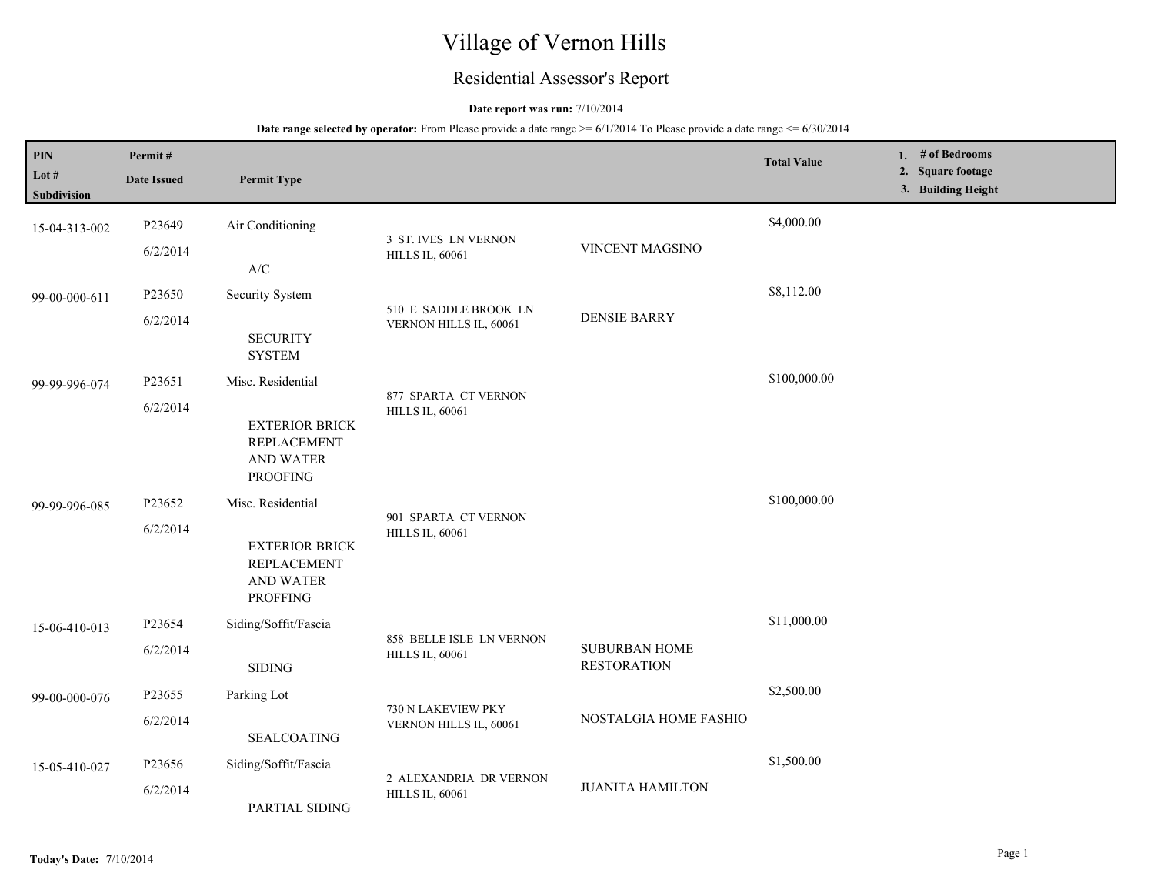# Village of Vernon Hills

## Residential Assessor's Report

### **Date report was run:** 7/10/2014

| PIN<br>Lot $#$<br>Subdivision | Permit#<br><b>Date Issued</b>            | <b>Permit Type</b>                                                                 |                                                    |                                            | <b>Total Value</b> | 1. # of Bedrooms<br>2. Square footage<br>3. Building Height |
|-------------------------------|------------------------------------------|------------------------------------------------------------------------------------|----------------------------------------------------|--------------------------------------------|--------------------|-------------------------------------------------------------|
| 15-04-313-002                 | P23649<br>6/2/2014                       | Air Conditioning                                                                   | 3 ST. IVES LN VERNON<br><b>HILLS IL, 60061</b>     | VINCENT MAGSINO                            | \$4,000.00         |                                                             |
|                               |                                          | $\ensuremath{\mathsf{A}}\xspace/\ensuremath{\mathsf{C}}\xspace$                    |                                                    |                                            |                    |                                                             |
| 99-00-000-611                 | P23650                                   | Security System                                                                    | 510 E SADDLE BROOK LN                              |                                            | \$8,112.00         |                                                             |
|                               | 6/2/2014                                 | <b>SECURITY</b><br><b>SYSTEM</b>                                                   | VERNON HILLS IL, 60061                             | <b>DENSIE BARRY</b>                        |                    |                                                             |
| 99-99-996-074                 | P23651                                   | Misc. Residential                                                                  | 877 SPARTA CT VERNON                               |                                            | \$100,000.00       |                                                             |
|                               | 6/2/2014                                 | <b>EXTERIOR BRICK</b><br><b>REPLACEMENT</b><br><b>AND WATER</b><br><b>PROOFING</b> | <b>HILLS IL, 60061</b>                             |                                            |                    |                                                             |
| 99-99-996-085                 | P23652                                   | Misc. Residential                                                                  |                                                    |                                            | \$100,000.00       |                                                             |
|                               | 6/2/2014<br>AND WATER<br><b>PROFFING</b> | <b>EXTERIOR BRICK</b><br><b>REPLACEMENT</b>                                        | 901 SPARTA CT VERNON<br><b>HILLS IL, 60061</b>     |                                            |                    |                                                             |
| 15-06-410-013                 | P23654                                   | Siding/Soffit/Fascia                                                               |                                                    |                                            | \$11,000.00        |                                                             |
|                               | 6/2/2014                                 | $\operatorname{SIDING}$                                                            | 858 BELLE ISLE LN VERNON<br><b>HILLS IL, 60061</b> | <b>SUBURBAN HOME</b><br><b>RESTORATION</b> |                    |                                                             |
| 99-00-000-076                 | P23655                                   | Parking Lot                                                                        | 730 N LAKEVIEW PKY                                 |                                            | \$2,500.00         |                                                             |
|                               | 6/2/2014                                 | VERNON HILLS IL, 60061<br><b>SEALCOATING</b>                                       |                                                    | NOSTALGIA HOME FASHIO                      |                    |                                                             |
| 15-05-410-027                 | P23656                                   | Siding/Soffit/Fascia                                                               | 2 ALEXANDRIA DR VERNON                             |                                            | \$1,500.00         |                                                             |
|                               | 6/2/2014                                 | PARTIAL SIDING                                                                     | <b>HILLS IL, 60061</b>                             | <b>JUANITA HAMILTON</b>                    |                    |                                                             |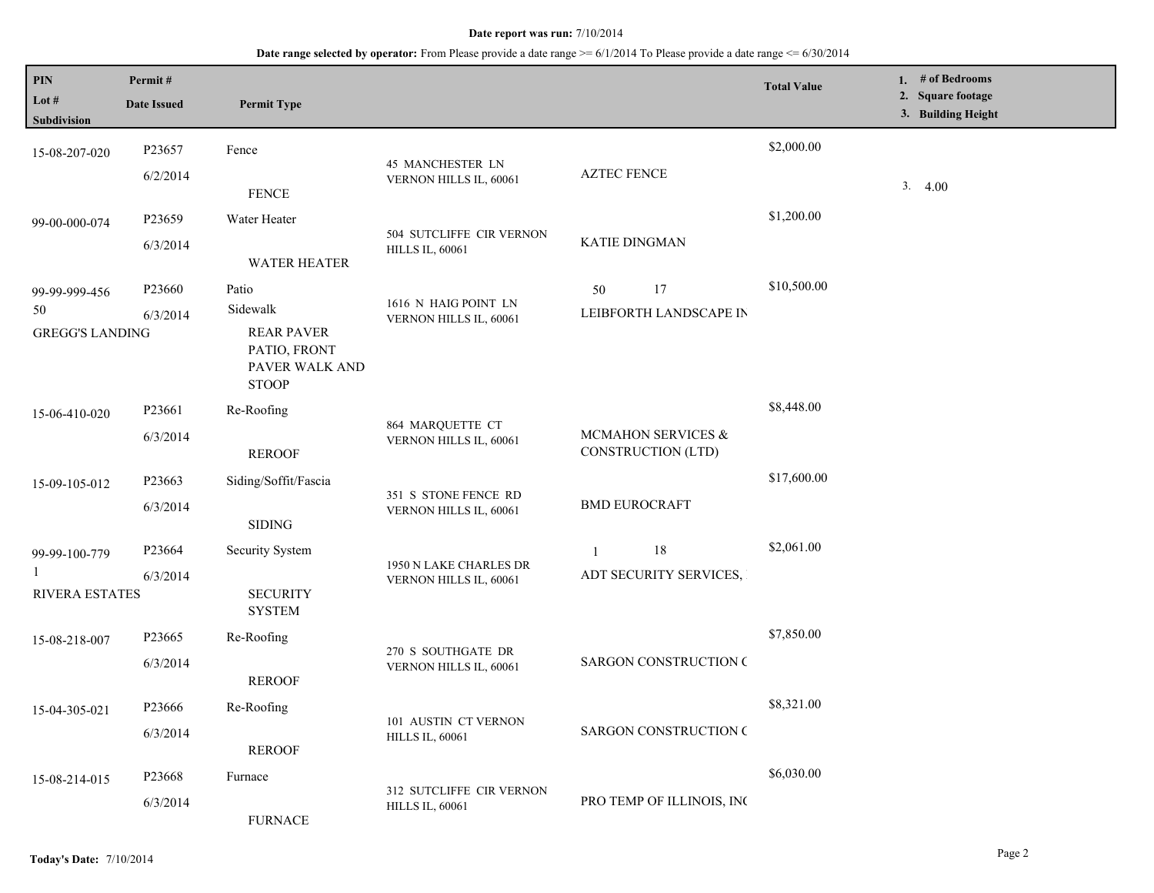| PIN<br>Lot $#$<br>Subdivision                 | Permit#<br><b>Date Issued</b> | <b>Permit Type</b>                                                                       |                                                    |                                                  | <b>Total Value</b> | 1. $#$ of Bedrooms<br>2. Square footage<br>3. Building Height |
|-----------------------------------------------|-------------------------------|------------------------------------------------------------------------------------------|----------------------------------------------------|--------------------------------------------------|--------------------|---------------------------------------------------------------|
| 15-08-207-020                                 | P23657<br>6/2/2014            | Fence<br><b>FENCE</b>                                                                    | 45 MANCHESTER LN<br>VERNON HILLS IL, 60061         | <b>AZTEC FENCE</b>                               | \$2,000.00         | 3.4.00                                                        |
| 99-00-000-074                                 | P23659<br>6/3/2014            | Water Heater<br><b>WATER HEATER</b>                                                      | 504 SUTCLIFFE CIR VERNON<br><b>HILLS IL, 60061</b> | KATIE DINGMAN                                    | \$1,200.00         |                                                               |
| 99-99-999-456<br>50<br><b>GREGG'S LANDING</b> | P23660<br>6/3/2014            | Patio<br>Sidewalk<br><b>REAR PAVER</b><br>PATIO, FRONT<br>PAVER WALK AND<br><b>STOOP</b> | 1616 N HAIG POINT LN<br>VERNON HILLS IL, 60061     | 17<br>50<br>LEIBFORTH LANDSCAPE IN               | \$10,500.00        |                                                               |
| 15-06-410-020                                 | P23661<br>6/3/2014            | Re-Roofing<br><b>REROOF</b>                                                              | 864 MARQUETTE CT<br>VERNON HILLS IL, 60061         | MCMAHON SERVICES &<br>CONSTRUCTION (LTD)         | \$8,448.00         |                                                               |
| 15-09-105-012                                 | P23663<br>6/3/2014            | Siding/Soffit/Fascia<br><b>SIDING</b>                                                    | 351 S STONE FENCE RD<br>VERNON HILLS IL, 60061     | <b>BMD EUROCRAFT</b>                             | \$17,600.00        |                                                               |
| 99-99-100-779<br><b>RIVERA ESTATES</b>        | P23664<br>6/3/2014            | Security System<br><b>SECURITY</b><br><b>SYSTEM</b>                                      | 1950 N LAKE CHARLES DR<br>VERNON HILLS IL, 60061   | $18\,$<br>$\mathbf{1}$<br>ADT SECURITY SERVICES, | \$2,061.00         |                                                               |
| 15-08-218-007                                 | P23665<br>6/3/2014            | Re-Roofing<br><b>REROOF</b>                                                              | 270 S SOUTHGATE DR<br>VERNON HILLS IL, 60061       | <b>SARGON CONSTRUCTION C</b>                     | \$7,850.00         |                                                               |
| 15-04-305-021                                 | P23666<br>6/3/2014            | Re-Roofing<br><b>REROOF</b>                                                              | 101 AUSTIN CT VERNON<br><b>HILLS IL, 60061</b>     | <b>SARGON CONSTRUCTION C</b>                     | \$8,321.00         |                                                               |
| 15-08-214-015                                 | P23668<br>6/3/2014            | Furnace<br><b>FURNACE</b>                                                                | 312 SUTCLIFFE CIR VERNON<br><b>HILLS IL, 60061</b> | PRO TEMP OF ILLINOIS, INC                        | \$6,030.00         |                                                               |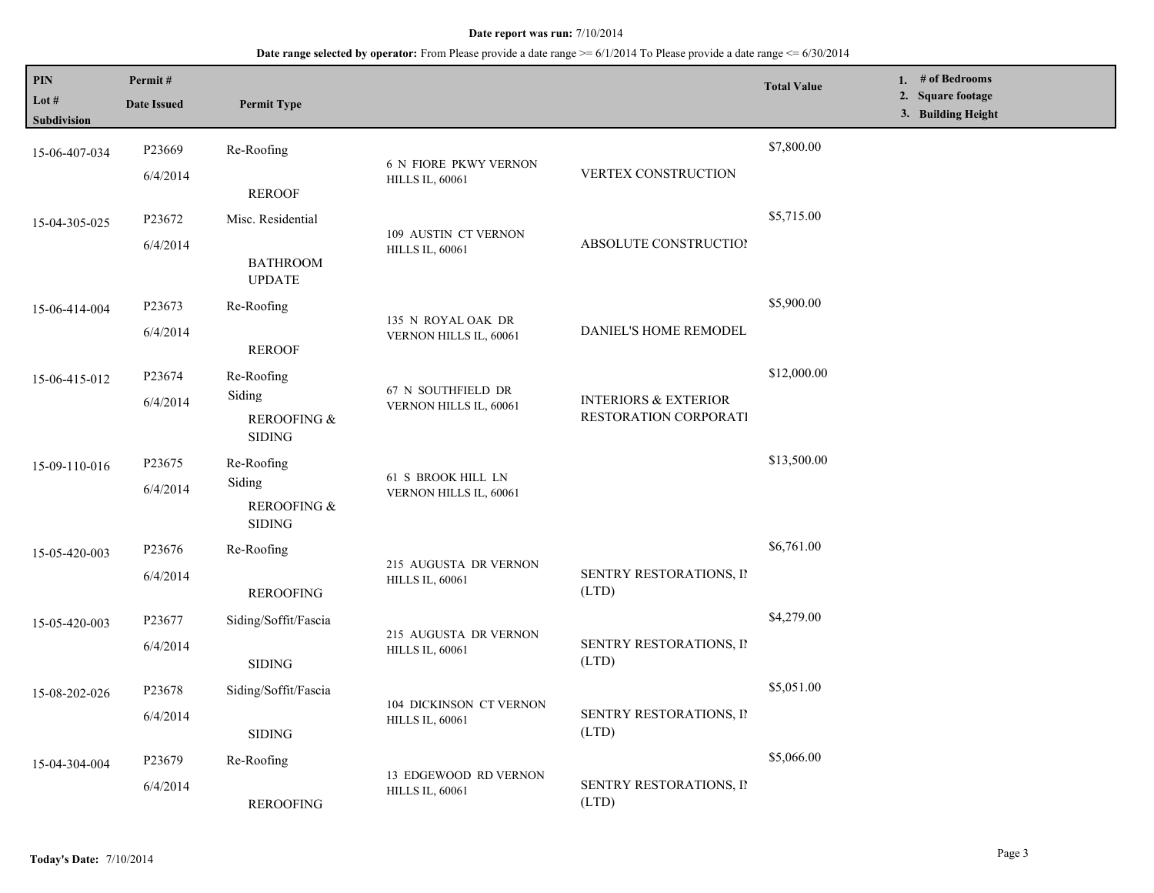| 3. Building Height<br>Subdivision<br>\$7,800.00<br>P23669<br>Re-Roofing<br>15-06-407-034<br><b>6 N FIORE PKWY VERNON</b><br>VERTEX CONSTRUCTION<br>6/4/2014<br><b>HILLS IL, 60061</b><br><b>REROOF</b><br>\$5,715.00<br>Misc. Residential<br>P23672<br>15-04-305-025<br>109 AUSTIN CT VERNON<br>ABSOLUTE CONSTRUCTION<br>6/4/2014<br><b>HILLS IL, 60061</b><br><b>BATHROOM</b> |  |
|--------------------------------------------------------------------------------------------------------------------------------------------------------------------------------------------------------------------------------------------------------------------------------------------------------------------------------------------------------------------------------|--|
|                                                                                                                                                                                                                                                                                                                                                                                |  |
|                                                                                                                                                                                                                                                                                                                                                                                |  |
|                                                                                                                                                                                                                                                                                                                                                                                |  |
|                                                                                                                                                                                                                                                                                                                                                                                |  |
|                                                                                                                                                                                                                                                                                                                                                                                |  |
|                                                                                                                                                                                                                                                                                                                                                                                |  |
|                                                                                                                                                                                                                                                                                                                                                                                |  |
| <b>UPDATE</b>                                                                                                                                                                                                                                                                                                                                                                  |  |
| \$5,900.00<br>P23673<br>Re-Roofing                                                                                                                                                                                                                                                                                                                                             |  |
| 15-06-414-004<br>135 N ROYAL OAK DR                                                                                                                                                                                                                                                                                                                                            |  |
| DANIEL'S HOME REMODEL<br>6/4/2014<br>VERNON HILLS IL, 60061<br><b>REROOF</b>                                                                                                                                                                                                                                                                                                   |  |
| \$12,000.00                                                                                                                                                                                                                                                                                                                                                                    |  |
| P23674<br>Re-Roofing<br>15-06-415-012<br>67 N SOUTHFIELD DR                                                                                                                                                                                                                                                                                                                    |  |
| Siding<br><b>INTERIORS &amp; EXTERIOR</b><br>6/4/2014<br>VERNON HILLS IL, 60061                                                                                                                                                                                                                                                                                                |  |
| RESTORATION CORPORATI<br>REROOFING &                                                                                                                                                                                                                                                                                                                                           |  |
| <b>SIDING</b>                                                                                                                                                                                                                                                                                                                                                                  |  |
| \$13,500.00<br>P23675<br>Re-Roofing<br>15-09-110-016<br>61 S BROOK HILL LN                                                                                                                                                                                                                                                                                                     |  |
| Siding<br>6/4/2014<br>VERNON HILLS IL, 60061                                                                                                                                                                                                                                                                                                                                   |  |
| REROOFING &                                                                                                                                                                                                                                                                                                                                                                    |  |
| $\operatorname{SIDING}$                                                                                                                                                                                                                                                                                                                                                        |  |
| \$6,761.00<br>P <sub>23676</sub><br>Re-Roofing<br>15-05-420-003<br>215 AUGUSTA DR VERNON                                                                                                                                                                                                                                                                                       |  |
| SENTRY RESTORATIONS, II<br>6/4/2014<br><b>HILLS IL, 60061</b>                                                                                                                                                                                                                                                                                                                  |  |
| (LTD)<br><b>REROOFING</b>                                                                                                                                                                                                                                                                                                                                                      |  |
| \$4,279.00<br>P23677<br>Siding/Soffit/Fascia<br>15-05-420-003                                                                                                                                                                                                                                                                                                                  |  |
| 215 AUGUSTA DR VERNON<br>SENTRY RESTORATIONS, II<br>6/4/2014<br><b>HILLS IL, 60061</b>                                                                                                                                                                                                                                                                                         |  |
| (LTD)<br>$\operatorname{SIDING}$                                                                                                                                                                                                                                                                                                                                               |  |
| \$5,051.00<br>P23678<br>Siding/Soffit/Fascia<br>15-08-202-026                                                                                                                                                                                                                                                                                                                  |  |
| 104 DICKINSON CT VERNON<br>SENTRY RESTORATIONS, II                                                                                                                                                                                                                                                                                                                             |  |
| 6/4/2014<br><b>HILLS IL, 60061</b><br>(LTD)<br><b>SIDING</b>                                                                                                                                                                                                                                                                                                                   |  |
| \$5,066.00                                                                                                                                                                                                                                                                                                                                                                     |  |
| P <sub>23679</sub><br>Re-Roofing<br>15-04-304-004<br>13 EDGEWOOD RD VERNON                                                                                                                                                                                                                                                                                                     |  |
| SENTRY RESTORATIONS, II<br>6/4/2014<br><b>HILLS IL, 60061</b><br>(LTD)<br><b>REROOFING</b>                                                                                                                                                                                                                                                                                     |  |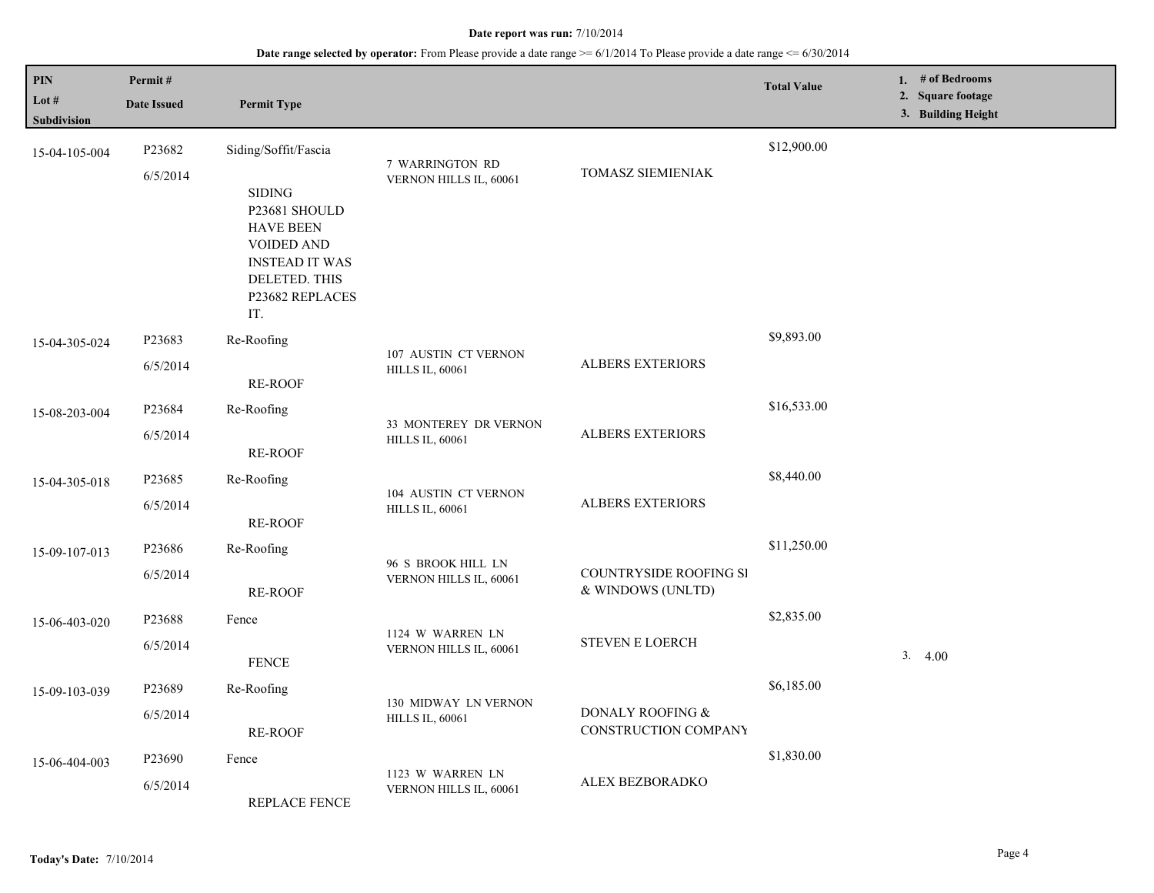| PIN<br>Lot #<br>Subdivision | Permit#<br><b>Date Issued</b> | <b>Permit Type</b>                                                                                                                          |                                                 |                                                 | <b>Total Value</b> | 1. # of Bedrooms<br>2. Square footage<br>3. Building Height |
|-----------------------------|-------------------------------|---------------------------------------------------------------------------------------------------------------------------------------------|-------------------------------------------------|-------------------------------------------------|--------------------|-------------------------------------------------------------|
| 15-04-105-004               | P23682<br>6/5/2014            | Siding/Soffit/Fascia                                                                                                                        | 7 WARRINGTON RD<br>VERNON HILLS IL, 60061       | TOMASZ SIEMIENIAK                               | \$12,900.00        |                                                             |
|                             |                               | <b>SIDING</b><br>P23681 SHOULD<br><b>HAVE BEEN</b><br><b>VOIDED AND</b><br><b>INSTEAD IT WAS</b><br>DELETED. THIS<br>P23682 REPLACES<br>IT. |                                                 |                                                 |                    |                                                             |
| 15-04-305-024               | P23683<br>6/5/2014            | Re-Roofing<br><b>RE-ROOF</b>                                                                                                                | 107 AUSTIN CT VERNON<br><b>HILLS IL, 60061</b>  | ALBERS EXTERIORS                                | \$9,893.00         |                                                             |
| 15-08-203-004               | P23684                        | Re-Roofing                                                                                                                                  |                                                 |                                                 | \$16,533.00        |                                                             |
|                             | 6/5/2014                      | <b>RE-ROOF</b>                                                                                                                              | 33 MONTEREY DR VERNON<br><b>HILLS IL, 60061</b> | <b>ALBERS EXTERIORS</b>                         |                    |                                                             |
| 15-04-305-018               | P23685                        | Re-Roofing                                                                                                                                  | 104 AUSTIN CT VERNON                            |                                                 | \$8,440.00         |                                                             |
|                             | 6/5/2014                      | <b>RE-ROOF</b>                                                                                                                              | <b>HILLS IL, 60061</b>                          | <b>ALBERS EXTERIORS</b>                         |                    |                                                             |
| 15-09-107-013               | P23686                        | Re-Roofing                                                                                                                                  | 96 S BROOK HILL LN                              |                                                 | \$11,250.00        |                                                             |
|                             | 6/5/2014                      | RE-ROOF                                                                                                                                     | VERNON HILLS IL, 60061                          | COUNTRYSIDE ROOFING SI<br>& WINDOWS (UNLTD)     |                    |                                                             |
| 15-06-403-020               | P23688                        | Fence                                                                                                                                       | 1124 W WARREN LN                                |                                                 | \$2,835.00         |                                                             |
|                             | 6/5/2014                      | <b>FENCE</b>                                                                                                                                | VERNON HILLS IL, 60061                          | <b>STEVEN E LOERCH</b>                          |                    | 3.4.00                                                      |
| 15-09-103-039               | P23689                        | Re-Roofing                                                                                                                                  | 130 MIDWAY LN VERNON                            |                                                 | \$6,185.00         |                                                             |
|                             | 6/5/2014                      | RE-ROOF                                                                                                                                     | <b>HILLS IL, 60061</b>                          | DONALY ROOFING &<br><b>CONSTRUCTION COMPANY</b> |                    |                                                             |
| 15-06-404-003               | P23690                        | Fence                                                                                                                                       | 1123 W WARREN LN                                |                                                 | \$1,830.00         |                                                             |
|                             | 6/5/2014                      | REPLACE FENCE                                                                                                                               | VERNON HILLS IL, 60061                          | ALEX BEZBORADKO                                 |                    |                                                             |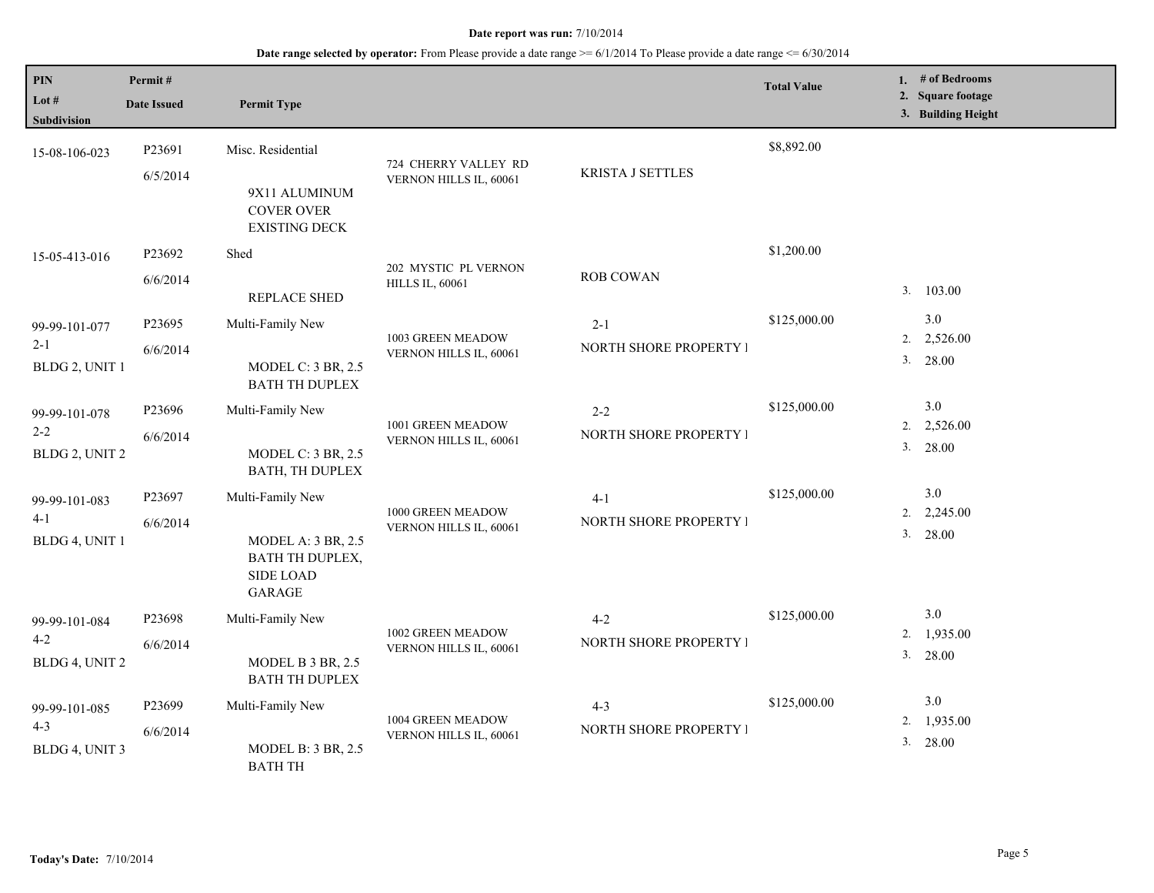| PIN<br>Lot #<br>Subdivision                | Permit#<br><b>Date Issued</b> | <b>Permit Type</b>                                                                      |                                                |                                   | <b>Total Value</b> | 1. $#$ of Bedrooms<br>2. Square footage<br>3. Building Height |
|--------------------------------------------|-------------------------------|-----------------------------------------------------------------------------------------|------------------------------------------------|-----------------------------------|--------------------|---------------------------------------------------------------|
| 15-08-106-023                              | P23691<br>6/5/2014            | Misc. Residential<br>9X11 ALUMINUM<br><b>COVER OVER</b><br><b>EXISTING DECK</b>         | 724 CHERRY VALLEY RD<br>VERNON HILLS IL, 60061 | KRISTA J SETTLES                  | \$8,892.00         |                                                               |
| 15-05-413-016                              | P23692<br>6/6/2014            | Shed<br>REPLACE SHED                                                                    | 202 MYSTIC PL VERNON<br><b>HILLS IL, 60061</b> | <b>ROB COWAN</b>                  | \$1,200.00         | 3. 103.00                                                     |
| 99-99-101-077<br>$2 - 1$<br>BLDG 2, UNIT 1 | P23695<br>6/6/2014            | Multi-Family New<br><b>MODEL C: 3 BR, 2.5</b><br><b>BATH TH DUPLEX</b>                  | 1003 GREEN MEADOW<br>VERNON HILLS IL, 60061    | $2 - 1$<br>NORTH SHORE PROPERTY I | \$125,000.00       | 3.0<br>2,526.00<br>2.<br>3. 28.00                             |
| 99-99-101-078<br>$2 - 2$<br>BLDG 2, UNIT 2 | P23696<br>6/6/2014            | Multi-Family New<br>MODEL C: 3 BR, 2.5<br>BATH, TH DUPLEX                               | 1001 GREEN MEADOW<br>VERNON HILLS IL, 60061    | $2 - 2$<br>NORTH SHORE PROPERTY I | \$125,000.00       | 3.0<br>2. 2,526.00<br>3. 28.00                                |
| 99-99-101-083<br>$4-1$<br>BLDG 4, UNIT 1   | P23697<br>6/6/2014            | Multi-Family New<br><b>MODEL A: 3 BR, 2.5</b><br>BATH TH DUPLEX,<br>SIDE LOAD<br>GARAGE | 1000 GREEN MEADOW<br>VERNON HILLS IL, 60061    | $4 - 1$<br>NORTH SHORE PROPERTY I | \$125,000.00       | 3.0<br>$2. \quad 2,245.00$<br>3.<br>28.00                     |
| 99-99-101-084<br>$4 - 2$<br>BLDG 4, UNIT 2 | P23698<br>6/6/2014            | Multi-Family New<br>MODEL B 3 BR, 2.5<br><b>BATH TH DUPLEX</b>                          | 1002 GREEN MEADOW<br>VERNON HILLS IL, 60061    | $4 - 2$<br>NORTH SHORE PROPERTY I | \$125,000.00       | 3.0<br>1,935.00<br>2.<br>3. 28.00                             |
| 99-99-101-085<br>$4 - 3$<br>BLDG 4, UNIT 3 | P23699<br>6/6/2014            | Multi-Family New<br>MODEL B: $3$ BR, $2.5$<br><b>BATH TH</b>                            | 1004 GREEN MEADOW<br>VERNON HILLS IL, 60061    | $4 - 3$<br>NORTH SHORE PROPERTY I | \$125,000.00       | 3.0<br>2. 1,935.00<br>3.<br>28.00                             |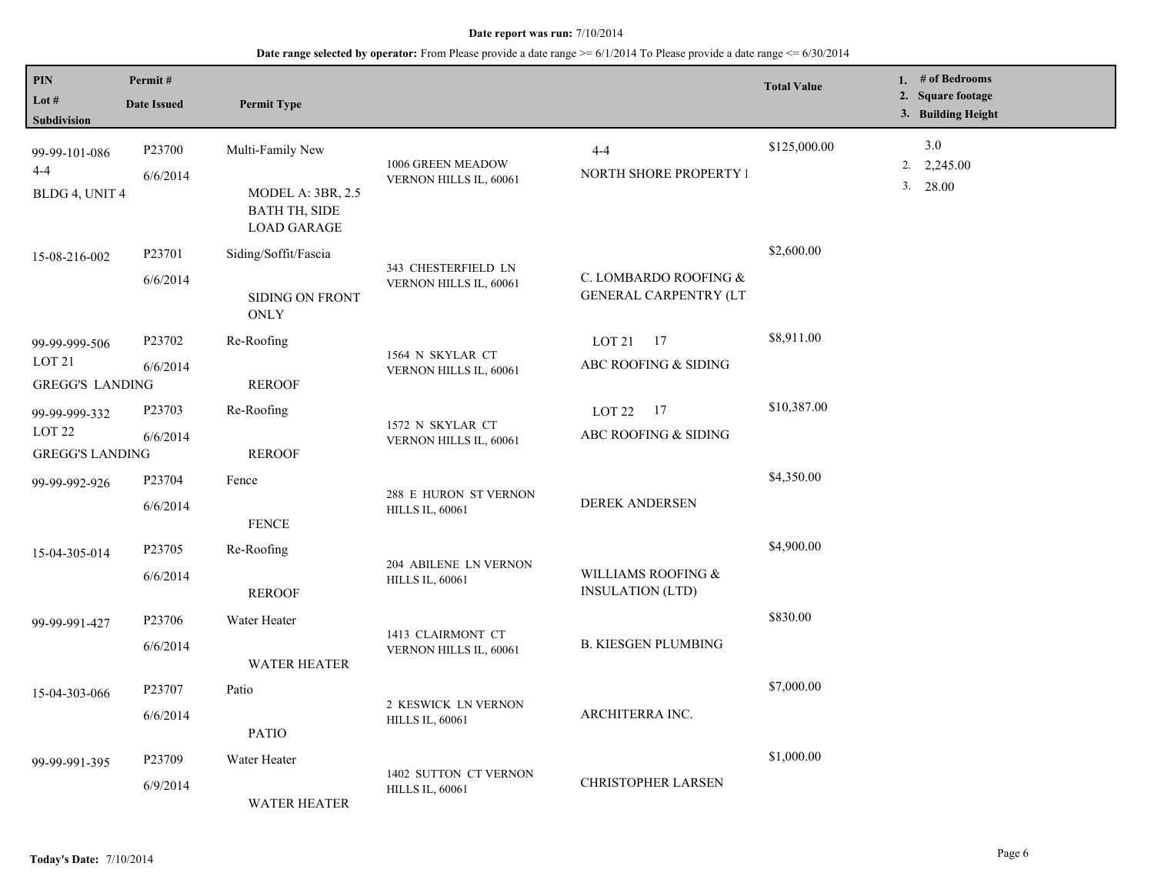| PIN<br>Lot #<br><b>Subdivision</b>                           | Permit#<br><b>Date Issued</b>  | <b>Permit Type</b>                                                                         |                                                 |                                                        | <b>Total Value</b> | 1. $#$ of Bedrooms<br>2. Square footage<br>3. Building Height |
|--------------------------------------------------------------|--------------------------------|--------------------------------------------------------------------------------------------|-------------------------------------------------|--------------------------------------------------------|--------------------|---------------------------------------------------------------|
| 99-99-101-086<br>$4 - 4$<br>BLDG 4, UNIT 4                   | P23700<br>6/6/2014             | Multi-Family New<br><b>MODEL A: 3BR, 2.5</b><br><b>BATH TH, SIDE</b><br><b>LOAD GARAGE</b> | 1006 GREEN MEADOW<br>VERNON HILLS IL, 60061     | $4 - 4$<br>NORTH SHORE PROPERTY I                      | \$125,000.00       | 3.0<br>2,245.00<br>2.<br>3.<br>28.00                          |
| 15-08-216-002                                                | P23701<br>6/6/2014             | Siding/Soffit/Fascia<br><b>SIDING ON FRONT</b><br><b>ONLY</b>                              | 343 CHESTERFIELD LN<br>VERNON HILLS IL, 60061   | C. LOMBARDO ROOFING &<br><b>GENERAL CARPENTRY (LT)</b> | \$2,600.00         |                                                               |
| 99-99-999-506<br>LOT <sub>21</sub><br><b>GREGG'S LANDING</b> | P <sub>23702</sub><br>6/6/2014 | Re-Roofing<br><b>REROOF</b>                                                                | 1564 N SKYLAR CT<br>VERNON HILLS IL, 60061      | LOT 21 17<br>ABC ROOFING & SIDING                      | \$8,911.00         |                                                               |
| 99-99-999-332<br>LOT <sub>22</sub><br><b>GREGG'S LANDING</b> | P <sub>23703</sub><br>6/6/2014 | Re-Roofing<br><b>REROOF</b>                                                                | 1572 N SKYLAR CT<br>VERNON HILLS IL, 60061      | LOT 22 17<br>ABC ROOFING & SIDING                      | \$10,387.00        |                                                               |
| 99-99-992-926                                                | P23704<br>6/6/2014             | Fence<br><b>FENCE</b>                                                                      | 288 E HURON ST VERNON<br><b>HILLS IL, 60061</b> | <b>DEREK ANDERSEN</b>                                  | \$4,350.00         |                                                               |
| 15-04-305-014                                                | P23705<br>6/6/2014             | Re-Roofing<br><b>REROOF</b>                                                                | 204 ABILENE LN VERNON<br><b>HILLS IL, 60061</b> | WILLIAMS ROOFING &<br><b>INSULATION (LTD)</b>          | \$4,900.00         |                                                               |
| 99-99-991-427                                                | P23706<br>6/6/2014             | Water Heater<br><b>WATER HEATER</b>                                                        | 1413 CLAIRMONT CT<br>VERNON HILLS IL, 60061     | <b>B. KIESGEN PLUMBING</b>                             | \$830.00           |                                                               |
| 15-04-303-066                                                | P23707<br>6/6/2014             | Patio<br><b>PATIO</b>                                                                      | 2 KESWICK LN VERNON<br><b>HILLS IL, 60061</b>   | ARCHITERRA INC.                                        | \$7,000.00         |                                                               |
| 99-99-991-395                                                | P <sub>23709</sub><br>6/9/2014 | Water Heater<br><b>WATER HEATER</b>                                                        | 1402 SUTTON CT VERNON<br><b>HILLS IL, 60061</b> | <b>CHRISTOPHER LARSEN</b>                              | \$1,000.00         |                                                               |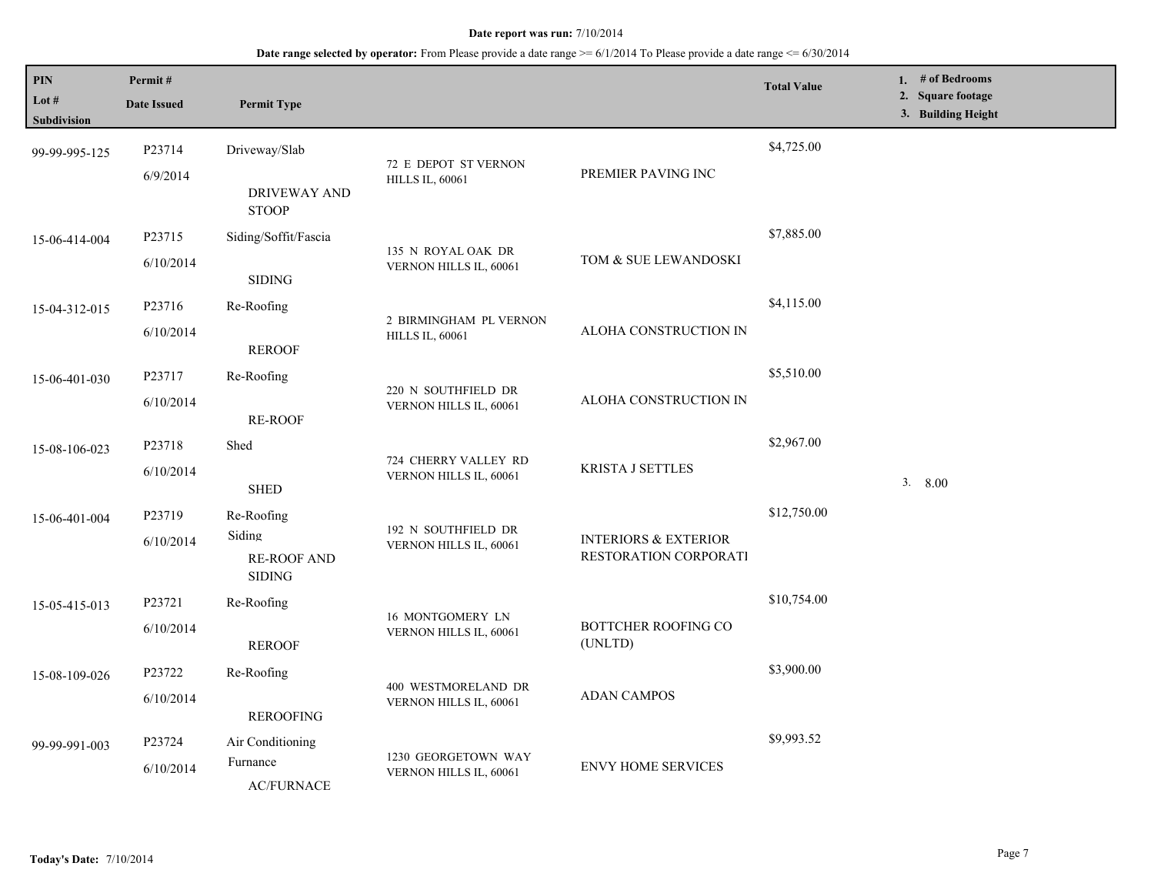| PIN<br>Lot $#$<br><b>Subdivision</b> | Permit#<br><b>Date Issued</b>   | <b>Permit Type</b>                                          |                                                  |                                                          | <b>Total Value</b> | 1. $#$ of Bedrooms<br>2. Square footage<br>3. Building Height |
|--------------------------------------|---------------------------------|-------------------------------------------------------------|--------------------------------------------------|----------------------------------------------------------|--------------------|---------------------------------------------------------------|
| 99-99-995-125                        | P23714<br>6/9/2014              | Driveway/Slab<br><b>DRIVEWAY AND</b>                        | 72 E DEPOT ST VERNON<br><b>HILLS IL, 60061</b>   | PREMIER PAVING INC                                       | \$4,725.00         |                                                               |
| 15-06-414-004                        | P23715<br>6/10/2014             | <b>STOOP</b><br>Siding/Soffit/Fascia<br><b>SIDING</b>       | 135 N ROYAL OAK DR<br>VERNON HILLS IL, 60061     | TOM & SUE LEWANDOSKI                                     | \$7,885.00         |                                                               |
| 15-04-312-015                        | P23716<br>6/10/2014             | Re-Roofing<br><b>REROOF</b>                                 | 2 BIRMINGHAM PL VERNON<br><b>HILLS IL, 60061</b> | ALOHA CONSTRUCTION IN                                    | \$4,115.00         |                                                               |
| 15-06-401-030                        | P23717<br>6/10/2014             | Re-Roofing<br><b>RE-ROOF</b>                                | 220 N SOUTHFIELD DR<br>VERNON HILLS IL, 60061    | ALOHA CONSTRUCTION IN                                    | \$5,510.00         |                                                               |
| 15-08-106-023                        | P <sub>23718</sub><br>6/10/2014 | Shed<br><b>SHED</b>                                         | 724 CHERRY VALLEY RD<br>VERNON HILLS IL, 60061   | <b>KRISTA J SETTLES</b>                                  | \$2,967.00         | 3.8.00                                                        |
| 15-06-401-004                        | P23719<br>6/10/2014             | Re-Roofing<br>Siding<br><b>RE-ROOF AND</b><br><b>SIDING</b> | 192 N SOUTHFIELD DR<br>VERNON HILLS IL, 60061    | <b>INTERIORS &amp; EXTERIOR</b><br>RESTORATION CORPORATI | \$12,750.00        |                                                               |
| 15-05-415-013                        | P23721<br>6/10/2014             | Re-Roofing<br><b>REROOF</b>                                 | 16 MONTGOMERY LN<br>VERNON HILLS IL, 60061       | <b>BOTTCHER ROOFING CO</b><br>(UNLTD)                    | \$10,754.00        |                                                               |
| 15-08-109-026                        | P23722<br>6/10/2014             | Re-Roofing<br><b>REROOFING</b>                              | 400 WESTMORELAND DR<br>VERNON HILLS IL, 60061    | <b>ADAN CAMPOS</b>                                       | \$3,900.00         |                                                               |
| 99-99-991-003                        | P23724<br>6/10/2014             | Air Conditioning<br>Furnance<br><b>AC/FURNACE</b>           | 1230 GEORGETOWN WAY<br>VERNON HILLS IL, 60061    | <b>ENVY HOME SERVICES</b>                                | \$9,993.52         |                                                               |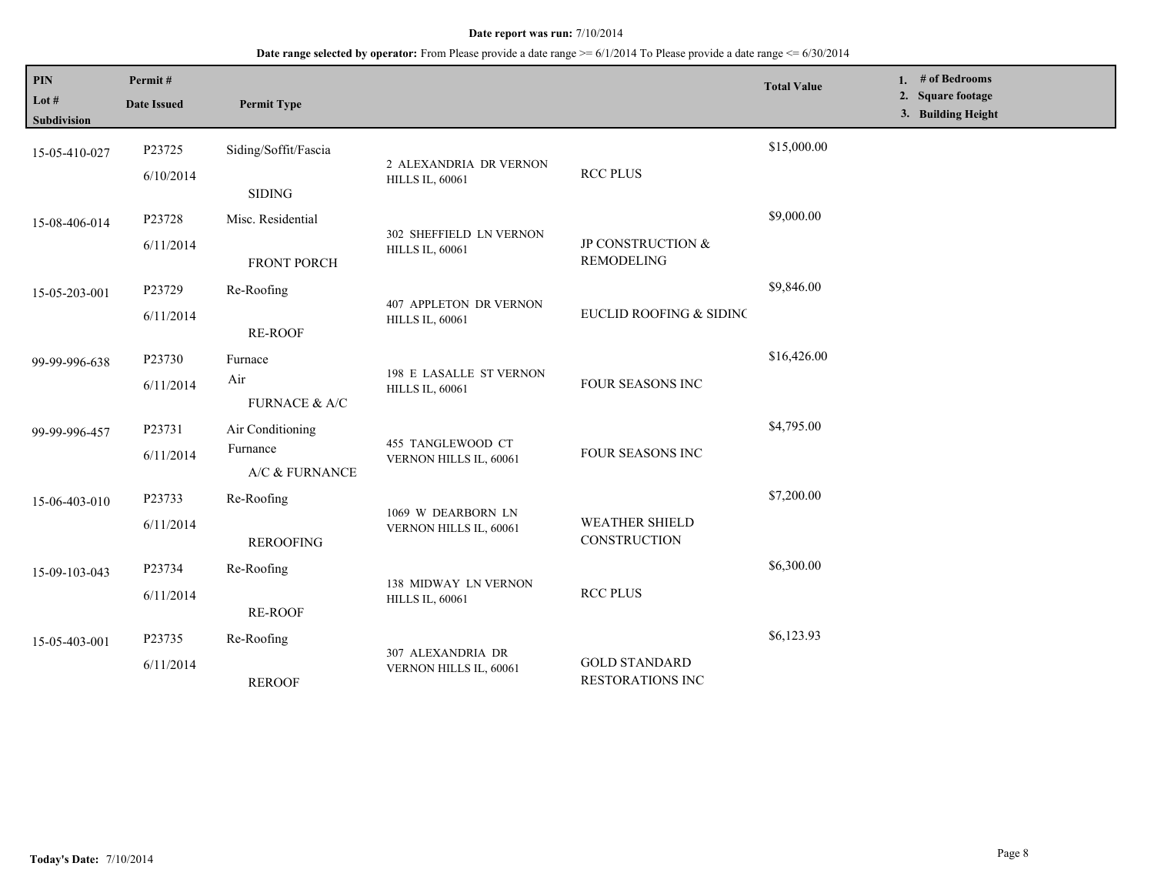| PIN<br>Lot #<br><b>Subdivision</b> | Permit#<br><b>Date Issued</b> | <b>Permit Type</b>                             |                                                   |                                          | <b>Total Value</b> | 1. $#$ of Bedrooms<br>2. Square footage<br>3. Building Height |
|------------------------------------|-------------------------------|------------------------------------------------|---------------------------------------------------|------------------------------------------|--------------------|---------------------------------------------------------------|
| 15-05-410-027                      | P23725<br>6/10/2014           | Siding/Soffit/Fascia<br><b>SIDING</b>          | 2 ALEXANDRIA DR VERNON<br><b>HILLS IL, 60061</b>  | <b>RCC PLUS</b>                          | \$15,000.00        |                                                               |
| 15-08-406-014                      | P23728<br>6/11/2014           | Misc. Residential<br><b>FRONT PORCH</b>        | 302 SHEFFIELD LN VERNON<br><b>HILLS IL, 60061</b> | JP CONSTRUCTION &<br><b>REMODELING</b>   | \$9,000.00         |                                                               |
| 15-05-203-001                      | P23729<br>6/11/2014           | Re-Roofing<br><b>RE-ROOF</b>                   | 407 APPLETON DR VERNON<br><b>HILLS IL, 60061</b>  | EUCLID ROOFING & SIDINC                  | \$9,846.00         |                                                               |
| 99-99-996-638                      | P23730<br>6/11/2014           | Furnace<br>Air<br>FURNACE & A/C                | 198 E LASALLE ST VERNON<br><b>HILLS IL, 60061</b> | FOUR SEASONS INC                         | \$16,426.00        |                                                               |
| 99-99-996-457                      | P23731<br>6/11/2014           | Air Conditioning<br>Furnance<br>A/C & FURNANCE | 455 TANGLEWOOD CT<br>VERNON HILLS IL, 60061       | FOUR SEASONS INC                         | \$4,795.00         |                                                               |
| 15-06-403-010                      | P23733<br>6/11/2014           | Re-Roofing<br><b>REROOFING</b>                 | 1069 W DEARBORN LN<br>VERNON HILLS IL, 60061      | <b>WEATHER SHIELD</b><br>CONSTRUCTION    | \$7,200.00         |                                                               |
| 15-09-103-043                      | P23734<br>6/11/2014           | Re-Roofing<br><b>RE-ROOF</b>                   | 138 MIDWAY LN VERNON<br><b>HILLS IL, 60061</b>    | <b>RCC PLUS</b>                          | \$6,300.00         |                                                               |
| 15-05-403-001                      | P23735<br>6/11/2014           | Re-Roofing<br><b>REROOF</b>                    | 307 ALEXANDRIA DR<br>VERNON HILLS IL, 60061       | <b>GOLD STANDARD</b><br>RESTORATIONS INC | \$6,123.93         |                                                               |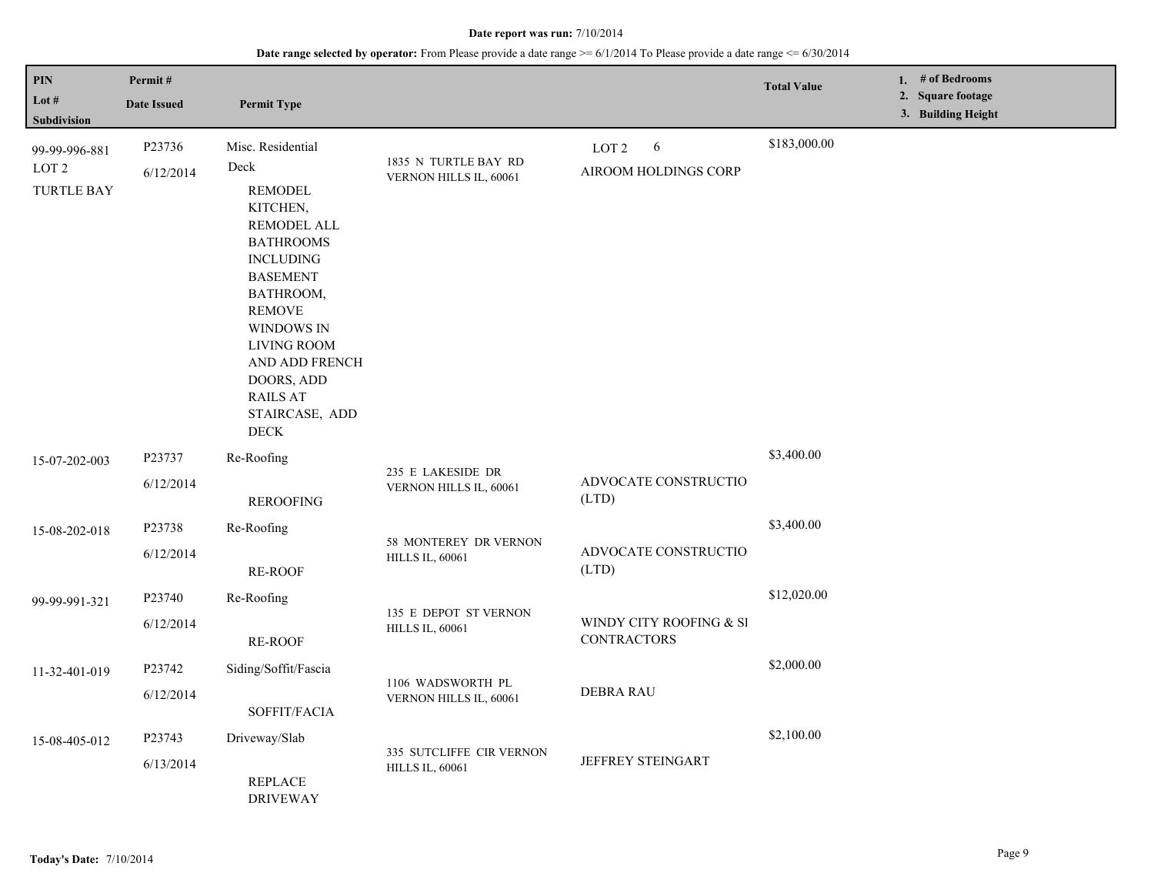| <b>PIN</b><br>Lot #<br><b>Subdivision</b>              | Permit#<br><b>Date Issued</b> | <b>Permit Type</b>                                                                                                                                                                                                                                                                      |                                                    |                                               | <b>Total Value</b> | 1. # of Bedrooms<br>2. Square footage<br>3. Building Height |
|--------------------------------------------------------|-------------------------------|-----------------------------------------------------------------------------------------------------------------------------------------------------------------------------------------------------------------------------------------------------------------------------------------|----------------------------------------------------|-----------------------------------------------|--------------------|-------------------------------------------------------------|
| 99-99-996-881<br>LOT <sub>2</sub><br><b>TURTLE BAY</b> | P23736<br>6/12/2014           | Misc. Residential<br>Deck<br><b>REMODEL</b><br>KITCHEN,<br>REMODEL ALL<br><b>BATHROOMS</b><br><b>INCLUDING</b><br><b>BASEMENT</b><br>BATHROOM,<br><b>REMOVE</b><br>WINDOWS IN<br><b>LIVING ROOM</b><br>AND ADD FRENCH<br>DOORS, ADD<br><b>RAILS AT</b><br>STAIRCASE, ADD<br><b>DECK</b> | 1835 N TURTLE BAY RD<br>VERNON HILLS IL, 60061     | LOT <sub>2</sub><br>6<br>AIROOM HOLDINGS CORP | \$183,000.00       |                                                             |
| 15-07-202-003                                          | P23737<br>6/12/2014           | Re-Roofing<br><b>REROOFING</b>                                                                                                                                                                                                                                                          | 235 E LAKESIDE DR<br>VERNON HILLS IL, 60061        | ADVOCATE CONSTRUCTIO<br>(LTD)                 | \$3,400.00         |                                                             |
| 15-08-202-018                                          | P23738<br>6/12/2014           | Re-Roofing<br><b>RE-ROOF</b>                                                                                                                                                                                                                                                            | 58 MONTEREY DR VERNON<br><b>HILLS IL, 60061</b>    | ADVOCATE CONSTRUCTIO<br>(LTD)                 | \$3,400.00         |                                                             |
| 99-99-991-321                                          | P23740<br>6/12/2014           | Re-Roofing<br><b>RE-ROOF</b>                                                                                                                                                                                                                                                            | 135 E DEPOT ST VERNON<br><b>HILLS IL, 60061</b>    | WINDY CITY ROOFING & SI<br><b>CONTRACTORS</b> | \$12,020.00        |                                                             |
| 11-32-401-019                                          | P23742<br>6/12/2014           | Siding/Soffit/Fascia<br>SOFFIT/FACIA                                                                                                                                                                                                                                                    | 1106 WADSWORTH PL<br>VERNON HILLS IL, 60061        | <b>DEBRA RAU</b>                              | \$2,000.00         |                                                             |
| 15-08-405-012                                          | P23743<br>6/13/2014           | Driveway/Slab<br>REPLACE<br><b>DRIVEWAY</b>                                                                                                                                                                                                                                             | 335 SUTCLIFFE CIR VERNON<br><b>HILLS IL, 60061</b> | <b>JEFFREY STEINGART</b>                      | \$2,100.00         |                                                             |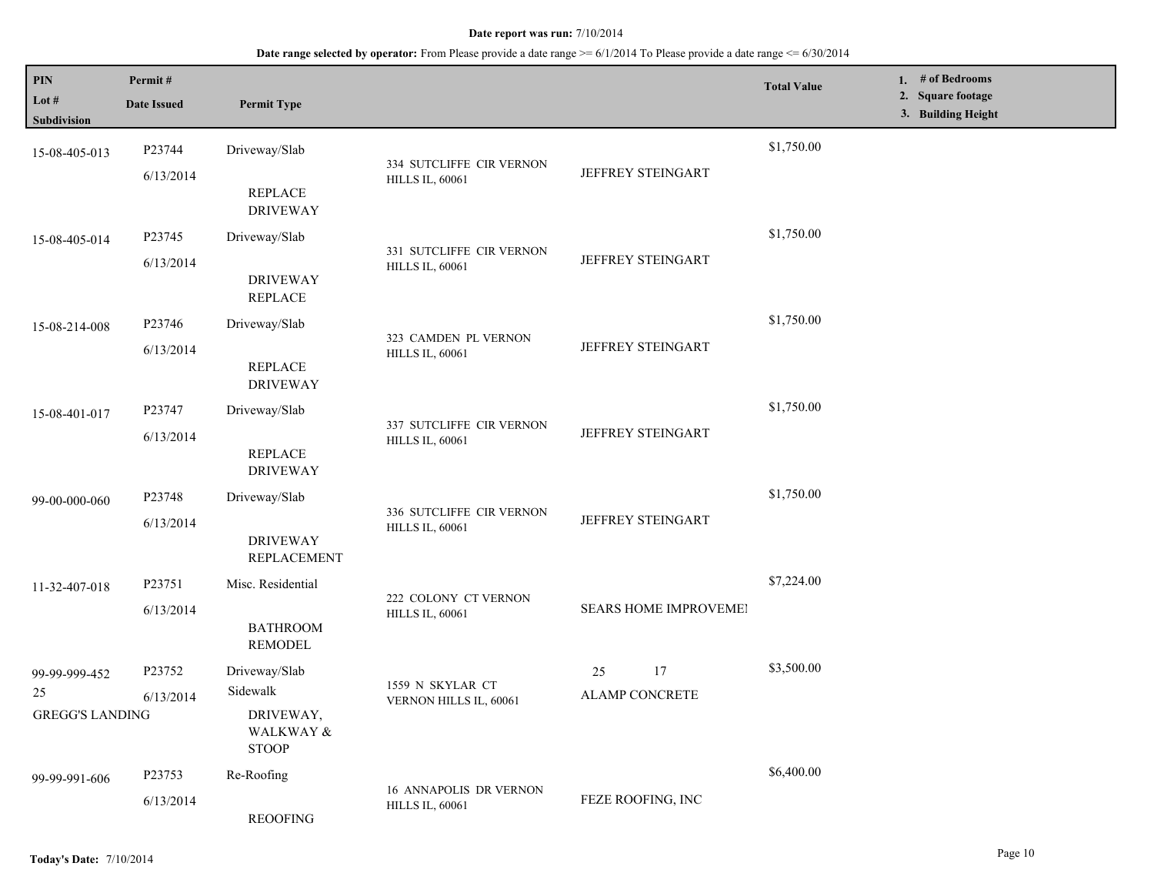| PIN<br>Lot #<br>Subdivision                       | Permit#<br><b>Date Issued</b> | <b>Permit Type</b>                                                  |                                                         |                                   | <b>Total Value</b> | 1. $#$ of Bedrooms<br>2. Square footage<br>3. Building Height |
|---------------------------------------------------|-------------------------------|---------------------------------------------------------------------|---------------------------------------------------------|-----------------------------------|--------------------|---------------------------------------------------------------|
| 15-08-405-013                                     | P23744<br>6/13/2014           | Driveway/Slab<br><b>REPLACE</b><br><b>DRIVEWAY</b>                  | 334 SUTCLIFFE CIR VERNON<br><b>HILLS IL, 60061</b>      | <b>JEFFREY STEINGART</b>          | \$1,750.00         |                                                               |
| 15-08-405-014                                     | P23745<br>6/13/2014           | Driveway/Slab<br><b>DRIVEWAY</b><br><b>REPLACE</b>                  | 331 SUTCLIFFE CIR VERNON<br><b>HILLS IL, 60061</b>      | JEFFREY STEINGART                 | \$1,750.00         |                                                               |
| 15-08-214-008                                     | P23746<br>6/13/2014           | Driveway/Slab<br>REPLACE<br><b>DRIVEWAY</b>                         | 323 CAMDEN PL VERNON<br><b>HILLS IL, 60061</b>          | <b>JEFFREY STEINGART</b>          | \$1,750.00         |                                                               |
| 15-08-401-017                                     | P23747<br>6/13/2014           | Driveway/Slab<br><b>REPLACE</b><br><b>DRIVEWAY</b>                  | 337 SUTCLIFFE CIR VERNON<br><b>HILLS IL, 60061</b>      | <b>JEFFREY STEINGART</b>          | \$1,750.00         |                                                               |
| 99-00-000-060                                     | P23748<br>6/13/2014           | Driveway/Slab<br><b>DRIVEWAY</b><br><b>REPLACEMENT</b>              | 336 SUTCLIFFE CIR VERNON<br><b>HILLS IL, 60061</b>      | JEFFREY STEINGART                 | \$1,750.00         |                                                               |
| 11-32-407-018                                     | P23751<br>6/13/2014           | Misc. Residential<br><b>BATHROOM</b><br><b>REMODEL</b>              | 222 COLONY CT VERNON<br><b>HILLS IL, 60061</b>          | <b>SEARS HOME IMPROVEMEI</b>      | \$7,224.00         |                                                               |
| 99-99-999-452<br>$25\,$<br><b>GREGG'S LANDING</b> | P23752<br>6/13/2014           | Driveway/Slab<br>Sidewalk<br>DRIVEWAY,<br>WALKWAY &<br><b>STOOP</b> | 1559 N SKYLAR CT<br>VERNON HILLS IL, 60061              | 17<br>25<br><b>ALAMP CONCRETE</b> | \$3,500.00         |                                                               |
| 99-99-991-606                                     | P23753<br>6/13/2014           | Re-Roofing<br><b>REOOFING</b>                                       | <b>16 ANNAPOLIS DR VERNON</b><br><b>HILLS IL, 60061</b> | FEZE ROOFING, INC                 | \$6,400.00         |                                                               |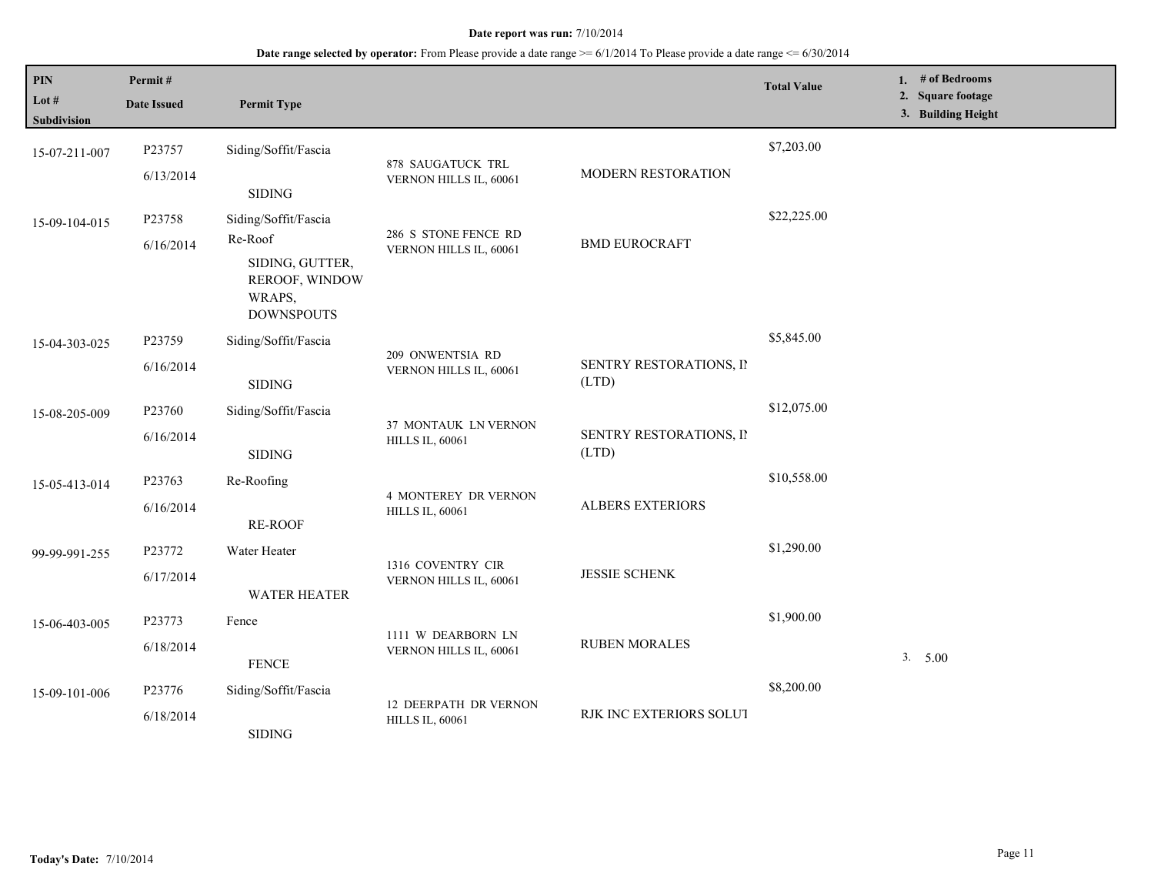| $\mathbf{PIN}$<br>Lot $#$<br><b>Subdivision</b> | Permit#<br><b>Date Issued</b> | <b>Permit Type</b>                                                                                  |                                                       |                                  | <b>Total Value</b> | 1. $#$ of Bedrooms<br>2. Square footage<br>3. Building Height |
|-------------------------------------------------|-------------------------------|-----------------------------------------------------------------------------------------------------|-------------------------------------------------------|----------------------------------|--------------------|---------------------------------------------------------------|
| 15-07-211-007                                   | P23757<br>6/13/2014           | Siding/Soffit/Fascia<br><b>SIDING</b>                                                               | 878 SAUGATUCK TRL<br>VERNON HILLS IL, 60061           | MODERN RESTORATION               | \$7,203.00         |                                                               |
| 15-09-104-015                                   | P23758<br>6/16/2014           | Siding/Soffit/Fascia<br>Re-Roof<br>SIDING, GUTTER,<br>REROOF, WINDOW<br>WRAPS,<br><b>DOWNSPOUTS</b> | 286 S STONE FENCE RD<br>VERNON HILLS IL, 60061        | <b>BMD EUROCRAFT</b>             | \$22,225.00        |                                                               |
| 15-04-303-025                                   | P23759<br>6/16/2014           | Siding/Soffit/Fascia<br><b>SIDING</b>                                                               | 209 ONWENTSIA RD<br>VERNON HILLS IL, 60061            | SENTRY RESTORATIONS, II<br>(LTD) | \$5,845.00         |                                                               |
| 15-08-205-009                                   | P23760<br>6/16/2014           | Siding/Soffit/Fascia<br><b>SIDING</b>                                                               | 37 MONTAUK LN VERNON<br><b>HILLS IL, 60061</b>        | SENTRY RESTORATIONS, II<br>(LTD) | \$12,075.00        |                                                               |
| 15-05-413-014                                   | P23763<br>6/16/2014           | Re-Roofing<br><b>RE-ROOF</b>                                                                        | <b>4 MONTEREY DR VERNON</b><br><b>HILLS IL, 60061</b> | <b>ALBERS EXTERIORS</b>          | \$10,558.00        |                                                               |
| 99-99-991-255                                   | P23772<br>6/17/2014           | Water Heater<br><b>WATER HEATER</b>                                                                 | 1316 COVENTRY CIR<br>VERNON HILLS IL, 60061           | <b>JESSIE SCHENK</b>             | \$1,290.00         |                                                               |
| 15-06-403-005                                   | P23773<br>6/18/2014           | Fence<br><b>FENCE</b>                                                                               | 1111 W DEARBORN LN<br>VERNON HILLS IL, 60061          | <b>RUBEN MORALES</b>             | \$1,900.00         | 3. 5.00                                                       |
| 15-09-101-006                                   | P23776<br>6/18/2014           | Siding/Soffit/Fascia<br><b>SIDING</b>                                                               | 12 DEERPATH DR VERNON<br><b>HILLS IL, 60061</b>       | RJK INC EXTERIORS SOLUT          | \$8,200.00         |                                                               |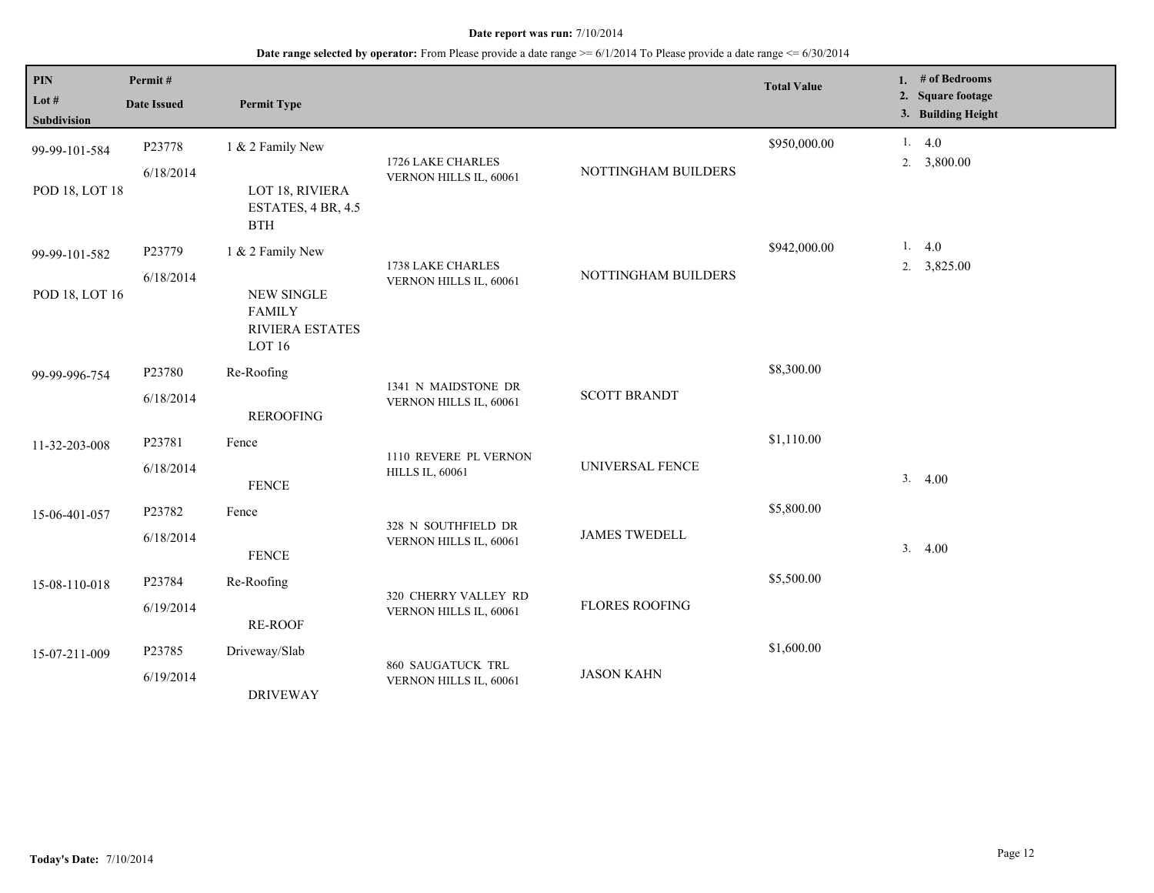| PIN<br>Lot $#$     | Permit#<br><b>Date Issued</b> | <b>Permit Type</b>                      |                                                                    |                       | <b>Total Value</b> |    | 1. # of Bedrooms<br>2. Square footage<br>3. Building Height |
|--------------------|-------------------------------|-----------------------------------------|--------------------------------------------------------------------|-----------------------|--------------------|----|-------------------------------------------------------------|
| <b>Subdivision</b> |                               |                                         |                                                                    |                       |                    |    |                                                             |
| 99-99-101-584      | P23778                        | 1 & 2 Family New                        |                                                                    |                       | \$950,000.00       |    | 1.4.0                                                       |
|                    | 6/18/2014                     |                                         | 1726 LAKE CHARLES<br>VERNON HILLS IL, 60061                        | NOTTINGHAM BUILDERS   |                    |    | 2. 3,800.00                                                 |
| POD 18, LOT 18     |                               | LOT 18, RIVIERA                         |                                                                    |                       |                    |    |                                                             |
|                    |                               | ESTATES, 4 BR, 4.5<br><b>BTH</b>        |                                                                    |                       |                    |    |                                                             |
| 99-99-101-582      | P23779                        | 1 & 2 Family New                        |                                                                    |                       | \$942,000.00       |    | 1.4.0                                                       |
|                    | 6/18/2014                     |                                         | 1738 LAKE CHARLES<br>NOTTINGHAM BUILDERS<br>VERNON HILLS IL, 60061 |                       |                    |    | 2. $3,825.00$                                               |
| POD 18, LOT 16     |                               | <b>NEW SINGLE</b>                       |                                                                    |                       |                    |    |                                                             |
|                    |                               | <b>FAMILY</b><br><b>RIVIERA ESTATES</b> |                                                                    |                       |                    |    |                                                             |
|                    |                               | LOT 16                                  |                                                                    |                       |                    |    |                                                             |
| 99-99-996-754      | P23780                        | Re-Roofing                              |                                                                    |                       | \$8,300.00         |    |                                                             |
|                    | 6/18/2014                     |                                         | 1341 N MAIDSTONE DR                                                | <b>SCOTT BRANDT</b>   |                    |    |                                                             |
|                    |                               | <b>REROOFING</b>                        | VERNON HILLS IL, 60061                                             |                       |                    |    |                                                             |
| 11-32-203-008      | P23781                        | Fence                                   |                                                                    |                       | \$1,110.00         |    |                                                             |
|                    | 6/18/2014                     |                                         | 1110 REVERE PL VERNON                                              | UNIVERSAL FENCE       |                    |    |                                                             |
|                    |                               | <b>FENCE</b>                            | <b>HILLS IL, 60061</b>                                             |                       |                    | 3. | 4.00                                                        |
| 15-06-401-057      | P23782                        | Fence                                   |                                                                    |                       | \$5,800.00         |    |                                                             |
|                    | 6/18/2014                     |                                         | 328 N SOUTHFIELD DR                                                | <b>JAMES TWEDELL</b>  |                    |    |                                                             |
|                    |                               | <b>FENCE</b>                            | VERNON HILLS IL, 60061                                             |                       |                    | 3. | 4.00                                                        |
| 15-08-110-018      | P23784                        | Re-Roofing                              |                                                                    |                       | \$5,500.00         |    |                                                             |
|                    | 6/19/2014                     |                                         | 320 CHERRY VALLEY RD                                               | <b>FLORES ROOFING</b> |                    |    |                                                             |
|                    |                               | <b>RE-ROOF</b>                          | VERNON HILLS IL, 60061                                             |                       |                    |    |                                                             |
| 15-07-211-009      | P23785                        | Driveway/Slab                           |                                                                    |                       | \$1,600.00         |    |                                                             |
|                    | 6/19/2014                     |                                         | 860 SAUGATUCK TRL                                                  | <b>JASON KAHN</b>     |                    |    |                                                             |
|                    |                               | <b>DRIVEWAY</b>                         | VERNON HILLS IL, 60061                                             |                       |                    |    |                                                             |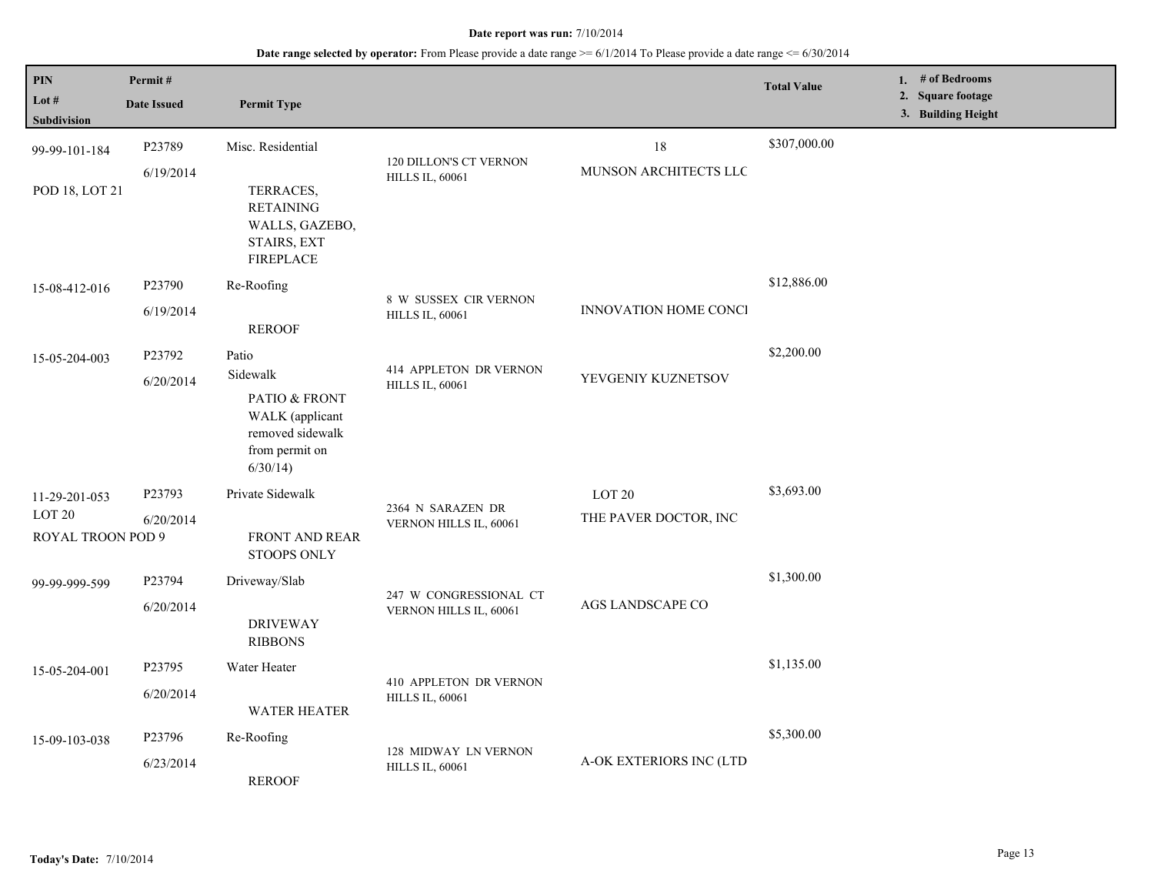| $\mathbf{PIN}$<br>Lot $#$           | Permit#<br><b>Date Issued</b> | <b>Permit Type</b>                                                                 |                                                                                                                                           |                              | <b>Total Value</b> | 1. $#$ of Bedrooms<br>2. Square footage<br>3. Building Height |
|-------------------------------------|-------------------------------|------------------------------------------------------------------------------------|-------------------------------------------------------------------------------------------------------------------------------------------|------------------------------|--------------------|---------------------------------------------------------------|
| <b>Subdivision</b><br>99-99-101-184 | P23789                        | Misc. Residential                                                                  |                                                                                                                                           | $18\,$                       | \$307,000.00       |                                                               |
| POD 18, LOT 21                      | 6/19/2014                     | TERRACES,<br><b>RETAINING</b><br>WALLS, GAZEBO,<br>STAIRS, EXT<br><b>FIREPLACE</b> | <b>120 DILLON'S CT VERNON</b><br><b>HILLS IL, 60061</b>                                                                                   | MUNSON ARCHITECTS LLC        |                    |                                                               |
| 15-08-412-016                       | P23790                        | Re-Roofing                                                                         | 8 W SUSSEX CIR VERNON                                                                                                                     |                              | \$12,886.00        |                                                               |
|                                     | 6/19/2014                     | <b>REROOF</b>                                                                      | <b>HILLS IL, 60061</b>                                                                                                                    | <b>INNOVATION HOME CONCI</b> |                    |                                                               |
| 15-05-204-003                       | P23792                        | Patio                                                                              | 414 APPLETON DR VERNON<br><b>HILLS IL, 60061</b><br>PATIO & FRONT<br>WALK (applicant<br>removed sidewalk<br>from permit on<br>$6/30/14$ ) | YEVGENIY KUZNETSOV           | \$2,200.00         |                                                               |
|                                     | 6/20/2014                     | Sidewalk                                                                           |                                                                                                                                           |                              |                    |                                                               |
|                                     |                               |                                                                                    |                                                                                                                                           |                              |                    |                                                               |
| 11-29-201-053                       | P23793                        | Private Sidewalk                                                                   |                                                                                                                                           | $LOT$ 20 $\,$                | \$3,693.00         |                                                               |
| LOT <sub>20</sub>                   | 6/20/2014                     |                                                                                    | 2364 N SARAZEN DR<br>VERNON HILLS IL, 60061                                                                                               | THE PAVER DOCTOR, INC        |                    |                                                               |
| ROYAL TROON POD 9                   |                               | <b>FRONT AND REAR</b><br><b>STOOPS ONLY</b>                                        |                                                                                                                                           |                              |                    |                                                               |
| 99-99-999-599                       | P23794                        | Driveway/Slab                                                                      |                                                                                                                                           |                              | \$1,300.00         |                                                               |
|                                     | 6/20/2014                     | <b>DRIVEWAY</b><br><b>RIBBONS</b>                                                  | 247 W CONGRESSIONAL CT<br>VERNON HILLS IL, 60061                                                                                          | <b>AGS LANDSCAPE CO</b>      |                    |                                                               |
| 15-05-204-001                       | P23795                        | Water Heater                                                                       |                                                                                                                                           |                              | \$1,135.00         |                                                               |
|                                     | 6/20/2014                     | <b>WATER HEATER</b>                                                                | 410 APPLETON DR VERNON<br><b>HILLS IL, 60061</b>                                                                                          |                              |                    |                                                               |
| 15-09-103-038                       | P23796                        | Re-Roofing                                                                         |                                                                                                                                           |                              | \$5,300.00         |                                                               |
|                                     | 6/23/2014                     | <b>REROOF</b>                                                                      | 128 MIDWAY LN VERNON<br><b>HILLS IL, 60061</b>                                                                                            | A-OK EXTERIORS INC (LTD      |                    |                                                               |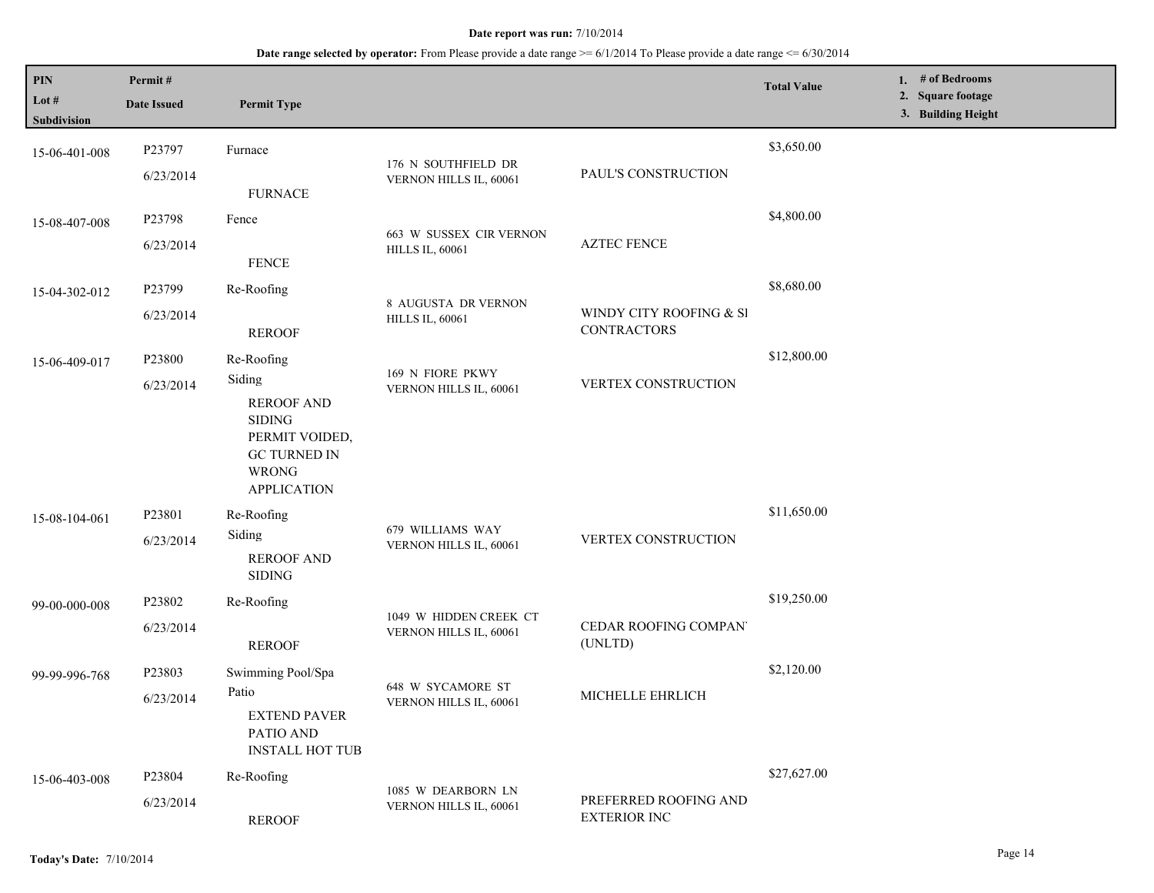| PIN<br>Lot #<br>Subdivision | Permit#<br><b>Date Issued</b> | <b>Permit Type</b>                                                                                                          |                                                  |                                               | <b>Total Value</b> | 1. # of Bedrooms<br><b>Square footage</b><br>2.<br>3. Building Height |
|-----------------------------|-------------------------------|-----------------------------------------------------------------------------------------------------------------------------|--------------------------------------------------|-----------------------------------------------|--------------------|-----------------------------------------------------------------------|
| 15-06-401-008               | P23797                        | Furnace                                                                                                                     | 176 N SOUTHFIELD DR                              |                                               | \$3,650.00         |                                                                       |
|                             | 6/23/2014                     | <b>FURNACE</b>                                                                                                              | VERNON HILLS IL, 60061                           | PAUL'S CONSTRUCTION                           |                    |                                                                       |
| 15-08-407-008               | P23798                        | Fence                                                                                                                       | 663 W SUSSEX CIR VERNON                          |                                               | \$4,800.00         |                                                                       |
|                             | 6/23/2014                     | <b>FENCE</b>                                                                                                                | <b>HILLS IL, 60061</b>                           | <b>AZTEC FENCE</b>                            |                    |                                                                       |
| 15-04-302-012               | P23799                        | Re-Roofing                                                                                                                  | 8 AUGUSTA DR VERNON                              |                                               | \$8,680.00         |                                                                       |
|                             | 6/23/2014                     | <b>REROOF</b>                                                                                                               | <b>HILLS IL, 60061</b>                           | WINDY CITY ROOFING & SI<br><b>CONTRACTORS</b> |                    |                                                                       |
| 15-06-409-017               | P23800                        | Re-Roofing                                                                                                                  | 169 N FIORE PKWY<br>VERNON HILLS IL, 60061       |                                               | \$12,800.00        |                                                                       |
|                             | 6/23/2014                     | Siding<br><b>REROOF AND</b><br><b>SIDING</b><br>PERMIT VOIDED,<br><b>GC TURNED IN</b><br><b>WRONG</b><br><b>APPLICATION</b> |                                                  | VERTEX CONSTRUCTION                           |                    |                                                                       |
| 15-08-104-061               | P23801                        | Re-Roofing                                                                                                                  | 679 WILLIAMS WAY<br>VERNON HILLS IL, 60061       | VERTEX CONSTRUCTION                           | \$11,650.00        |                                                                       |
|                             | 6/23/2014                     | Siding<br><b>REROOF AND</b><br><b>SIDING</b>                                                                                |                                                  |                                               |                    |                                                                       |
| 99-00-000-008               | P23802                        | Re-Roofing                                                                                                                  |                                                  |                                               | \$19,250.00        |                                                                       |
|                             | 6/23/2014                     | <b>REROOF</b>                                                                                                               | 1049 W HIDDEN CREEK CT<br>VERNON HILLS IL, 60061 | CEDAR ROOFING COMPAN<br>(UNLTD)               |                    |                                                                       |
| 99-99-996-768               | P23803                        | Swimming Pool/Spa                                                                                                           |                                                  |                                               | \$2,120.00         |                                                                       |
|                             | 6/23/2014                     | Patio<br><b>EXTEND PAVER</b><br>PATIO AND<br><b>INSTALL HOT TUB</b>                                                         | 648 W SYCAMORE ST<br>VERNON HILLS IL, 60061      | MICHELLE EHRLICH                              |                    |                                                                       |
| 15-06-403-008               | P23804                        | Re-Roofing                                                                                                                  | 1085 W DEARBORN LN                               |                                               | \$27,627.00        |                                                                       |
|                             | 6/23/2014                     | <b>REROOF</b>                                                                                                               | VERNON HILLS IL, 60061                           | PREFERRED ROOFING AND<br><b>EXTERIOR INC</b>  |                    |                                                                       |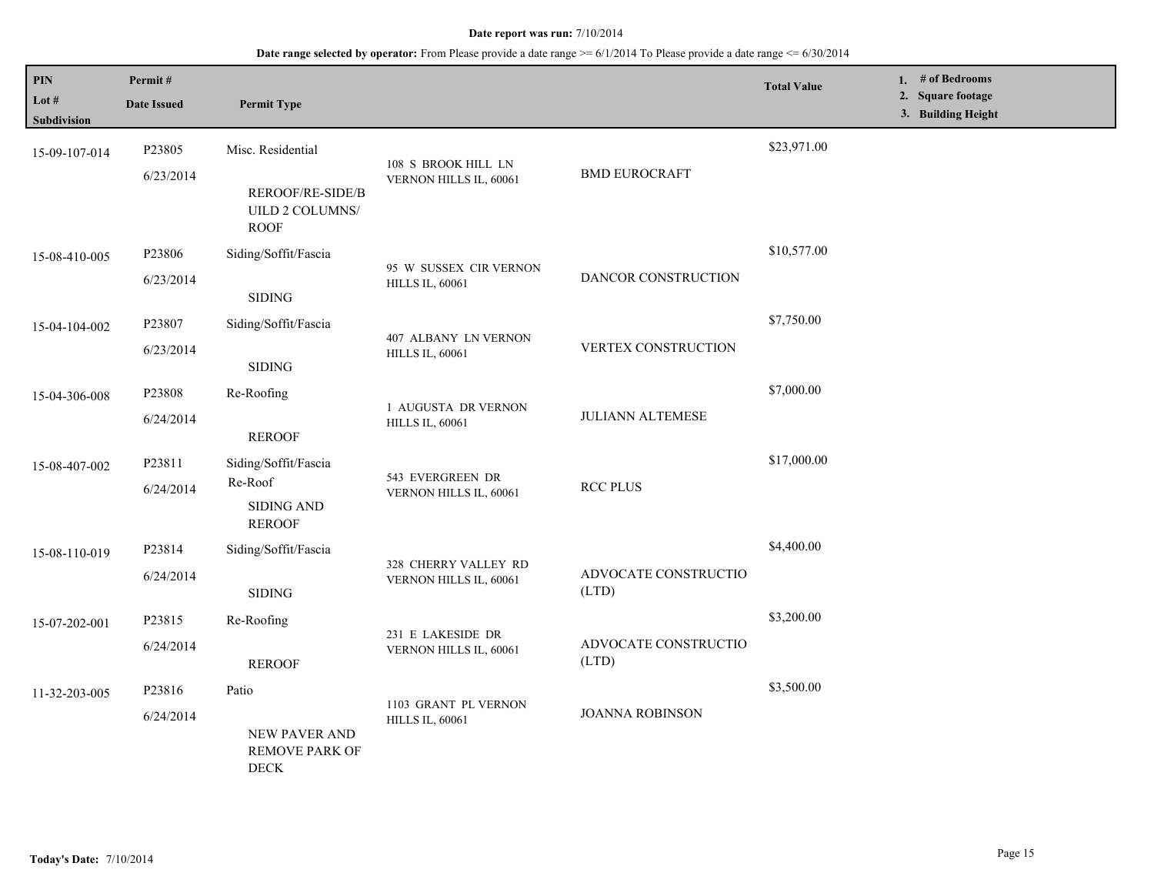| PIN<br>Lot #<br><b>Subdivision</b> | Permit#<br><b>Date Issued</b> | <b>Permit Type</b>                                                             |                                                  |                               | <b>Total Value</b> | 1. # of Bedrooms<br>2. Square footage<br>3. Building Height |
|------------------------------------|-------------------------------|--------------------------------------------------------------------------------|--------------------------------------------------|-------------------------------|--------------------|-------------------------------------------------------------|
| 15-09-107-014                      | P23805<br>6/23/2014           | Misc. Residential<br><b>REROOF/RE-SIDE/B</b><br>UILD 2 COLUMNS/<br><b>ROOF</b> | 108 S BROOK HILL LN<br>VERNON HILLS IL, 60061    | <b>BMD EUROCRAFT</b>          | \$23,971.00        |                                                             |
| 15-08-410-005                      | P23806<br>6/23/2014           | Siding/Soffit/Fascia<br><b>SIDING</b>                                          | 95 W SUSSEX CIR VERNON<br><b>HILLS IL, 60061</b> | DANCOR CONSTRUCTION           | \$10,577.00        |                                                             |
| 15-04-104-002                      | P23807<br>6/23/2014           | Siding/Soffit/Fascia<br><b>SIDING</b>                                          | 407 ALBANY LN VERNON<br><b>HILLS IL, 60061</b>   | VERTEX CONSTRUCTION           | \$7,750.00         |                                                             |
| 15-04-306-008                      | P23808<br>6/24/2014           | Re-Roofing<br><b>REROOF</b>                                                    | 1 AUGUSTA DR VERNON<br><b>HILLS IL, 60061</b>    | <b>JULIANN ALTEMESE</b>       | \$7,000.00         |                                                             |
| 15-08-407-002                      | P23811<br>6/24/2014           | Siding/Soffit/Fascia<br>Re-Roof<br><b>SIDING AND</b><br><b>REROOF</b>          | 543 EVERGREEN DR<br>VERNON HILLS IL, 60061       | <b>RCC PLUS</b>               | \$17,000.00        |                                                             |
| 15-08-110-019                      | P23814<br>6/24/2014           | Siding/Soffit/Fascia<br><b>SIDING</b>                                          | 328 CHERRY VALLEY RD<br>VERNON HILLS IL, 60061   | ADVOCATE CONSTRUCTIO<br>(LTD) | \$4,400.00         |                                                             |
| 15-07-202-001                      | P23815<br>6/24/2014           | Re-Roofing<br><b>REROOF</b>                                                    | 231 E LAKESIDE DR<br>VERNON HILLS IL, 60061      | ADVOCATE CONSTRUCTIO<br>(LTD) | \$3,200.00         |                                                             |
| 11-32-203-005                      | P23816<br>6/24/2014           | Patio<br>NEW PAVER AND<br><b>REMOVE PARK OF</b><br>$\rm DECK$                  | 1103 GRANT PL VERNON<br><b>HILLS IL, 60061</b>   | <b>JOANNA ROBINSON</b>        | \$3,500.00         |                                                             |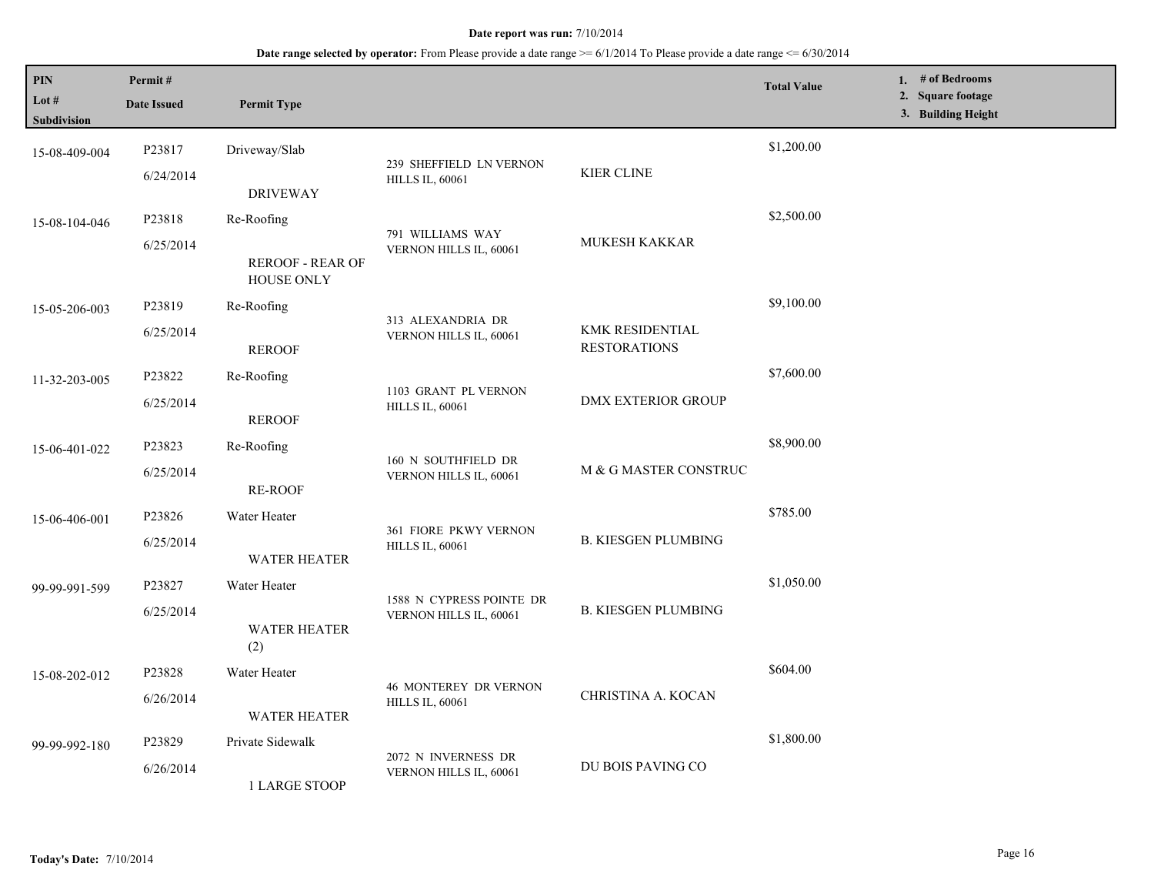### **Date range selected by operator:** From Please provide a date range  $\geq 6/1/2014$  To Please provide a date range  $\leq 6/30/2014$

| PIN<br>Lot $#$<br>Subdivision | Permit#<br><b>Date Issued</b> | <b>Permit Type</b>                    |                                                        |                                               | <b>Total Value</b> | 1. $#$ of Bedrooms<br>2. Square footage<br>3. Building Height |
|-------------------------------|-------------------------------|---------------------------------------|--------------------------------------------------------|-----------------------------------------------|--------------------|---------------------------------------------------------------|
| 15-08-409-004                 | P23817                        | Driveway/Slab                         |                                                        |                                               | \$1,200.00         |                                                               |
|                               | 6/24/2014                     | <b>DRIVEWAY</b>                       | 239 SHEFFIELD LN VERNON<br><b>HILLS IL, 60061</b>      | <b>KIER CLINE</b>                             |                    |                                                               |
| 15-08-104-046                 | P23818                        | Re-Roofing                            |                                                        |                                               | \$2,500.00         |                                                               |
|                               | 6/25/2014                     | <b>REROOF - REAR OF</b><br>HOUSE ONLY | 791 WILLIAMS WAY<br>VERNON HILLS IL, 60061             | <b>MUKESH KAKKAR</b>                          |                    |                                                               |
| 15-05-206-003                 | P23819                        | Re-Roofing                            |                                                        |                                               | \$9,100.00         |                                                               |
|                               | 6/25/2014                     | <b>REROOF</b>                         | 313 ALEXANDRIA DR<br>VERNON HILLS IL, 60061            | <b>KMK RESIDENTIAL</b><br><b>RESTORATIONS</b> |                    |                                                               |
| 11-32-203-005                 | P23822                        | Re-Roofing                            | 1103 GRANT PL VERNON<br><b>HILLS IL, 60061</b>         | <b>DMX EXTERIOR GROUP</b>                     | \$7,600.00         |                                                               |
|                               | 6/25/2014                     | <b>REROOF</b>                         |                                                        |                                               |                    |                                                               |
| 15-06-401-022                 | P23823                        | Re-Roofing                            | 160 N SOUTHFIELD DR<br>VERNON HILLS IL, 60061          | M & G MASTER CONSTRUC                         | \$8,900.00         |                                                               |
|                               | 6/25/2014                     | <b>RE-ROOF</b>                        |                                                        |                                               |                    |                                                               |
| 15-06-406-001                 | P23826                        | Water Heater                          | 361 FIORE PKWY VERNON<br><b>HILLS IL, 60061</b>        | <b>B. KIESGEN PLUMBING</b>                    | \$785.00           |                                                               |
|                               | 6/25/2014                     | <b>WATER HEATER</b>                   |                                                        |                                               |                    |                                                               |
| 99-99-991-599                 | P23827                        | Water Heater                          | 1588 N CYPRESS POINTE DR<br>VERNON HILLS IL, 60061     |                                               | \$1,050.00         |                                                               |
|                               | 6/25/2014                     | WATER HEATER<br>(2)                   |                                                        | <b>B. KIESGEN PLUMBING</b>                    |                    |                                                               |
| 15-08-202-012                 | P23828                        | Water Heater                          |                                                        |                                               | \$604.00           |                                                               |
|                               | 6/26/2014                     | <b>WATER HEATER</b>                   | <b>46 MONTEREY DR VERNON</b><br><b>HILLS IL, 60061</b> | CHRISTINA A. KOCAN                            |                    |                                                               |
| 99-99-992-180                 | P23829                        | Private Sidewalk                      |                                                        |                                               | \$1,800.00         |                                                               |
|                               | 6/26/2014                     | 1 LARGE STOOP                         | 2072 N INVERNESS DR<br>VERNON HILLS IL, 60061          | DU BOIS PAVING CO                             |                    |                                                               |

L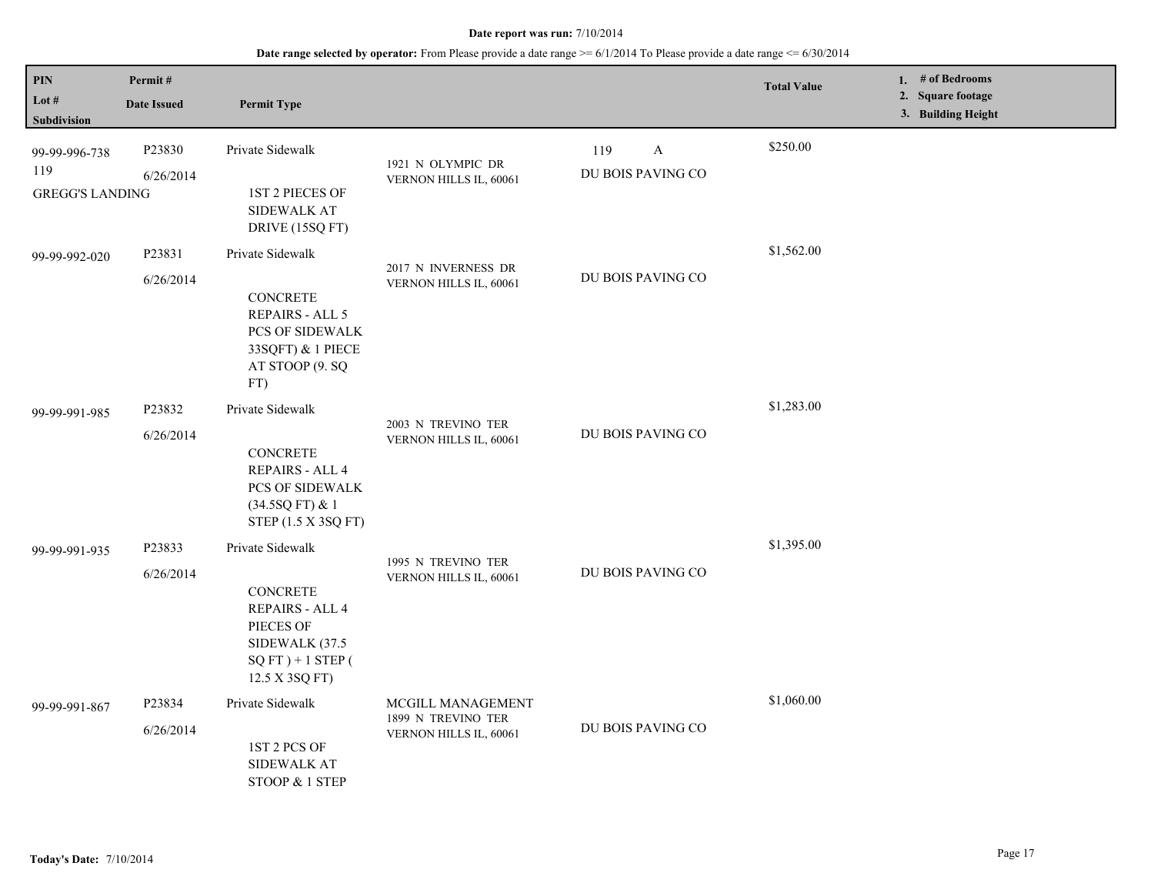| PIN<br>Lot $#$<br>Subdivision                  | Permit#<br><b>Date Issued</b> | <b>Permit Type</b>                                                                                                                    |                                                                   |                                          | <b>Total Value</b> | 1. # of Bedrooms<br>2. Square footage<br>3. Building Height |
|------------------------------------------------|-------------------------------|---------------------------------------------------------------------------------------------------------------------------------------|-------------------------------------------------------------------|------------------------------------------|--------------------|-------------------------------------------------------------|
| 99-99-996-738<br>119<br><b>GREGG'S LANDING</b> | P23830<br>6/26/2014           | Private Sidewalk<br>1ST 2 PIECES OF<br><b>SIDEWALK AT</b><br>DRIVE (15SQ FT)                                                          | 1921 N OLYMPIC DR<br>VERNON HILLS IL, 60061                       | 119<br>$\mathbf{A}$<br>DU BOIS PAVING CO | \$250.00           |                                                             |
| 99-99-992-020                                  | P23831<br>6/26/2014           | Private Sidewalk<br>CONCRETE<br>REPAIRS - ALL 5<br>PCS OF SIDEWALK<br>33SQFT) & 1 PIECE<br>AT STOOP (9. SQ<br>FT)                     | 2017 N INVERNESS DR<br>VERNON HILLS IL, 60061                     | DU BOIS PAVING CO                        | \$1,562.00         |                                                             |
| 99-99-991-985                                  | P23832<br>6/26/2014           | Private Sidewalk<br>CONCRETE<br>REPAIRS - ALL 4<br>PCS OF SIDEWALK<br>(34.5SQ FT) & 1<br>STEP (1.5 X 3SQ FT)                          | 2003 N TREVINO TER<br>VERNON HILLS IL, 60061                      | DU BOIS PAVING CO                        | \$1,283.00         |                                                             |
| 99-99-991-935                                  | P23833<br>6/26/2014           | Private Sidewalk<br><b>CONCRETE</b><br><b>REPAIRS - ALL 4</b><br>PIECES OF<br>SIDEWALK (37.5<br>$SQFT$ ) + 1 STEP (<br>12.5 X 3SQ FT) | 1995 N TREVINO TER<br>VERNON HILLS IL, 60061                      | DU BOIS PAVING CO                        | \$1,395.00         |                                                             |
| 99-99-991-867                                  | P23834<br>6/26/2014           | Private Sidewalk<br>1ST 2 PCS OF<br><b>SIDEWALK AT</b><br>STOOP & 1 STEP                                                              | MCGILL MANAGEMENT<br>1899 N TREVINO TER<br>VERNON HILLS IL, 60061 | DU BOIS PAVING CO                        | \$1,060.00         |                                                             |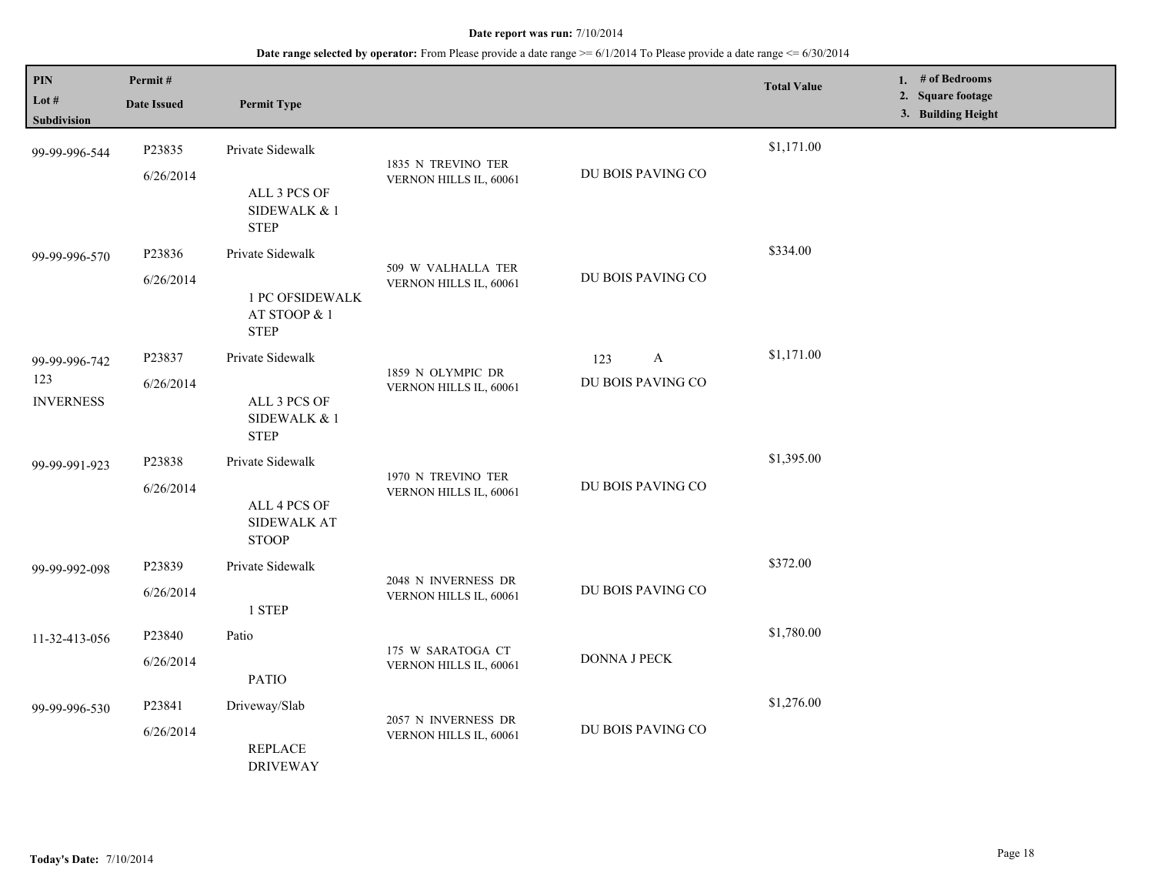| PIN<br>Lot #<br>Subdivision              | Permit#<br><b>Date Issued</b> | <b>Permit Type</b>                                                        |                                               |                                          | <b>Total Value</b> | 1. # of Bedrooms<br>2. Square footage<br>3. Building Height |
|------------------------------------------|-------------------------------|---------------------------------------------------------------------------|-----------------------------------------------|------------------------------------------|--------------------|-------------------------------------------------------------|
| 99-99-996-544                            | P23835<br>6/26/2014           | Private Sidewalk<br>ALL 3 PCS OF<br>SIDEWALK & 1<br><b>STEP</b>           | 1835 N TREVINO TER<br>VERNON HILLS IL, 60061  | DU BOIS PAVING CO                        | \$1,171.00         |                                                             |
| 99-99-996-570                            | P23836<br>6/26/2014           | Private Sidewalk<br><b>1 PC OFSIDEWALK</b><br>AT STOOP & 1<br><b>STEP</b> | 509 W VALHALLA TER<br>VERNON HILLS IL, 60061  | DU BOIS PAVING CO                        | \$334.00           |                                                             |
| 99-99-996-742<br>123<br><b>INVERNESS</b> | P23837<br>6/26/2014           | Private Sidewalk<br>ALL 3 PCS OF<br>SIDEWALK & 1<br><b>STEP</b>           | 1859 N OLYMPIC DR<br>VERNON HILLS IL, 60061   | $\mathbf{A}$<br>123<br>DU BOIS PAVING CO | \$1,171.00         |                                                             |
| 99-99-991-923                            | P23838<br>6/26/2014           | Private Sidewalk<br>ALL 4 PCS OF<br><b>SIDEWALK AT</b><br><b>STOOP</b>    | 1970 N TREVINO TER<br>VERNON HILLS IL, 60061  | DU BOIS PAVING CO                        | \$1,395.00         |                                                             |
| 99-99-992-098                            | P23839<br>6/26/2014           | Private Sidewalk<br>1 STEP                                                | 2048 N INVERNESS DR<br>VERNON HILLS IL, 60061 | DU BOIS PAVING CO                        | \$372.00           |                                                             |
| 11-32-413-056                            | P23840<br>6/26/2014           | Patio<br><b>PATIO</b>                                                     | 175 W SARATOGA CT<br>VERNON HILLS IL, 60061   | DONNA J PECK                             | \$1,780.00         |                                                             |
| 99-99-996-530                            | P23841<br>6/26/2014           | Driveway/Slab<br><b>REPLACE</b><br><b>DRIVEWAY</b>                        | 2057 N INVERNESS DR<br>VERNON HILLS IL, 60061 | DU BOIS PAVING CO                        | \$1,276.00         |                                                             |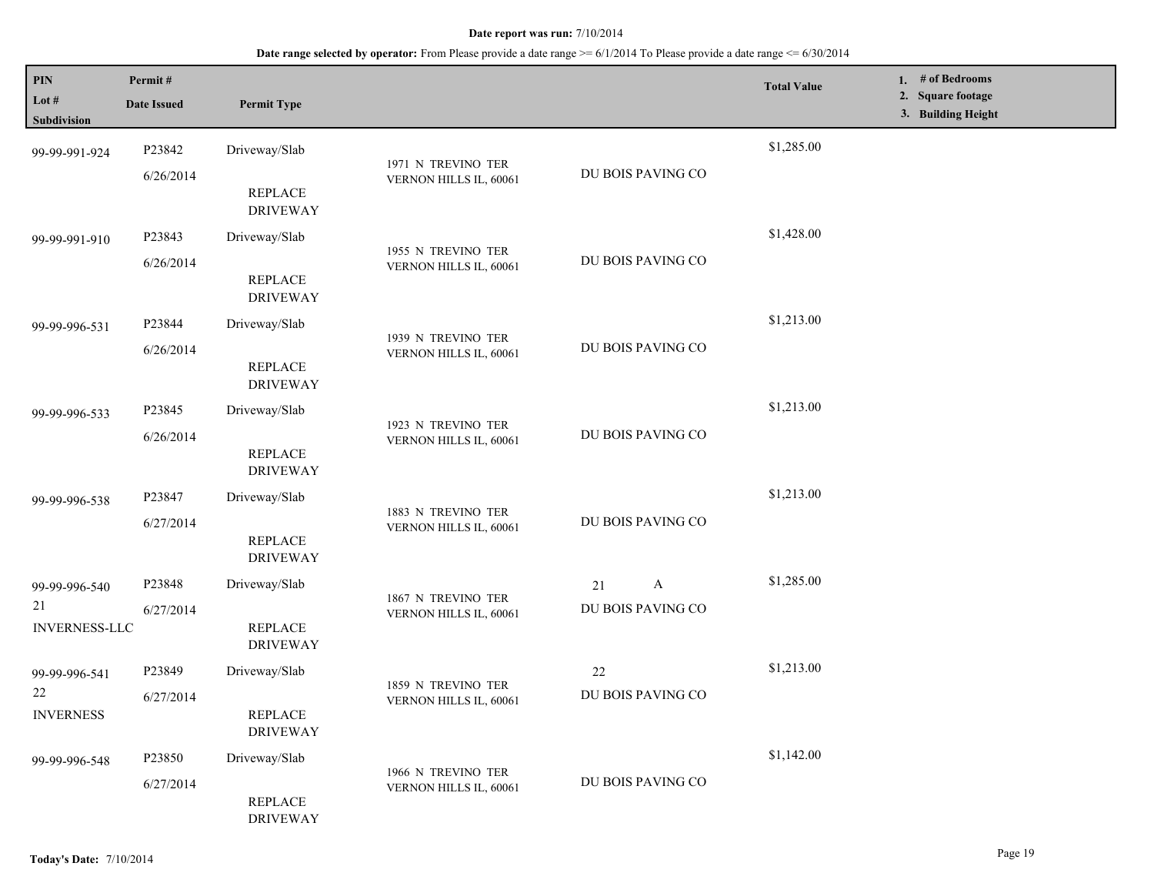| PIN<br>Lot #<br><b>Subdivision</b>          | Permit#<br><b>Date Issued</b> | <b>Permit Type</b>                                 |                                              |                                         | <b>Total Value</b> | 1. $#$ of Bedrooms<br>2. Square footage<br>3. Building Height |
|---------------------------------------------|-------------------------------|----------------------------------------------------|----------------------------------------------|-----------------------------------------|--------------------|---------------------------------------------------------------|
| 99-99-991-924                               | P23842<br>6/26/2014           | Driveway/Slab<br><b>REPLACE</b><br><b>DRIVEWAY</b> | 1971 N TREVINO TER<br>VERNON HILLS IL, 60061 | DU BOIS PAVING CO                       | \$1,285.00         |                                                               |
| 99-99-991-910                               | P23843<br>6/26/2014           | Driveway/Slab<br>REPLACE<br><b>DRIVEWAY</b>        | 1955 N TREVINO TER<br>VERNON HILLS IL, 60061 | DU BOIS PAVING CO                       | \$1,428.00         |                                                               |
| 99-99-996-531                               | P23844<br>6/26/2014           | Driveway/Slab<br><b>REPLACE</b><br><b>DRIVEWAY</b> | 1939 N TREVINO TER<br>VERNON HILLS IL, 60061 | DU BOIS PAVING CO                       | \$1,213.00         |                                                               |
| 99-99-996-533                               | P23845<br>6/26/2014           | Driveway/Slab<br><b>REPLACE</b><br><b>DRIVEWAY</b> | 1923 N TREVINO TER<br>VERNON HILLS IL, 60061 | DU BOIS PAVING CO                       | \$1,213.00         |                                                               |
| 99-99-996-538                               | P23847<br>6/27/2014           | Driveway/Slab<br>REPLACE<br><b>DRIVEWAY</b>        | 1883 N TREVINO TER<br>VERNON HILLS IL, 60061 | DU BOIS PAVING CO                       | \$1,213.00         |                                                               |
| 99-99-996-540<br>21<br><b>INVERNESS-LLC</b> | P23848<br>6/27/2014           | Driveway/Slab<br><b>REPLACE</b><br><b>DRIVEWAY</b> | 1867 N TREVINO TER<br>VERNON HILLS IL, 60061 | $\mathbf{A}$<br>21<br>DU BOIS PAVING CO | \$1,285.00         |                                                               |
| 99-99-996-541<br>22<br><b>INVERNESS</b>     | P23849<br>6/27/2014           | Driveway/Slab<br><b>REPLACE</b><br><b>DRIVEWAY</b> | 1859 N TREVINO TER<br>VERNON HILLS IL, 60061 | 22<br>DU BOIS PAVING CO                 | \$1,213.00         |                                                               |
| 99-99-996-548                               | P23850<br>6/27/2014           | Driveway/Slab<br><b>REPLACE</b><br><b>DRIVEWAY</b> | 1966 N TREVINO TER<br>VERNON HILLS IL, 60061 | DU BOIS PAVING CO                       | \$1,142.00         |                                                               |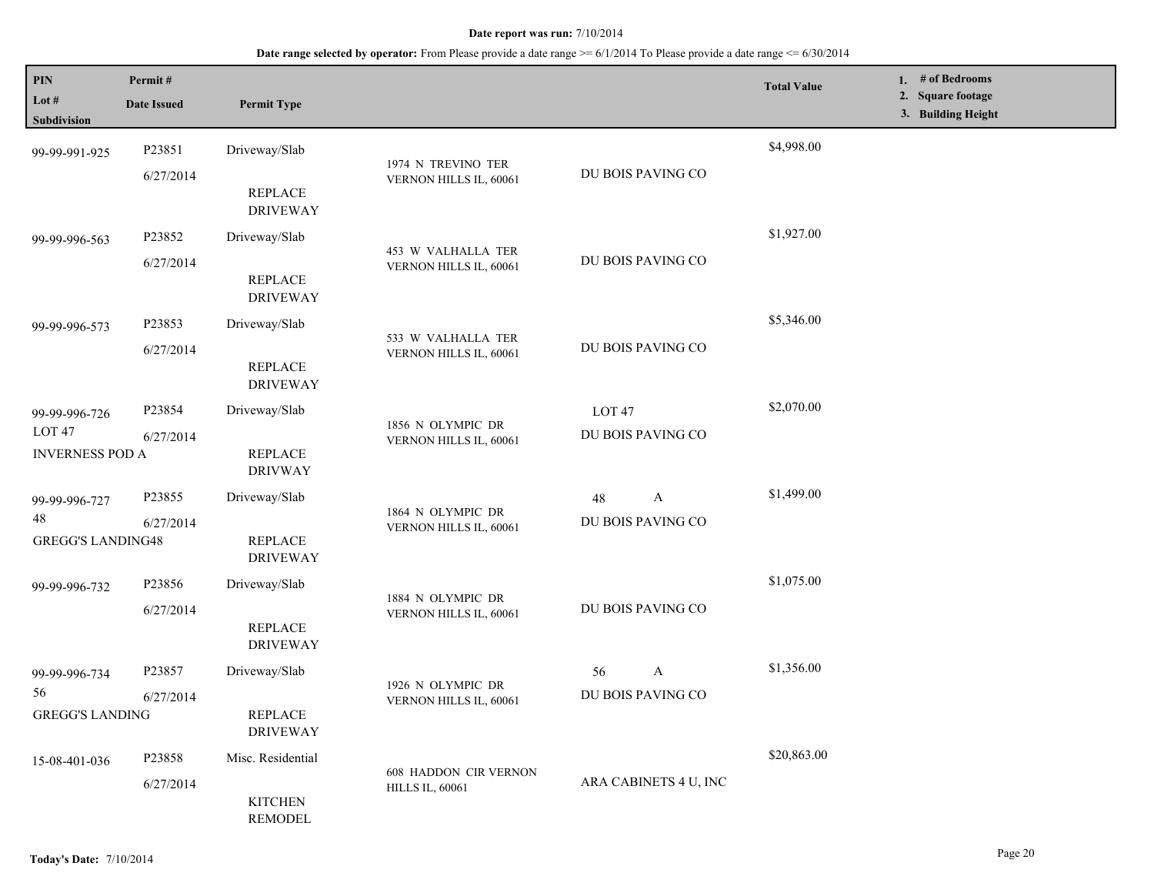| PIN<br>Lot #<br>Subdivision                                  | Permit#<br><b>Date Issued</b> | <b>Permit Type</b>                                                    |                                                        |                                        | <b>Total Value</b> | 1. # of Bedrooms<br>2. Square footage<br>3. Building Height |
|--------------------------------------------------------------|-------------------------------|-----------------------------------------------------------------------|--------------------------------------------------------|----------------------------------------|--------------------|-------------------------------------------------------------|
| 99-99-991-925                                                | P23851<br>6/27/2014           | Driveway/Slab<br><b>REPLACE</b>                                       | 1974 N TREVINO TER<br>VERNON HILLS IL, 60061           | DU BOIS PAVING CO                      | \$4,998.00         |                                                             |
| 99-99-996-563                                                | P23852<br>6/27/2014           | <b>DRIVEWAY</b><br>Driveway/Slab<br>REPLACE                           | 453 W VALHALLA TER<br>VERNON HILLS IL, 60061           | DU BOIS PAVING CO                      | \$1,927.00         |                                                             |
| 99-99-996-573                                                | P23853<br>6/27/2014           | <b>DRIVEWAY</b><br>Driveway/Slab<br><b>REPLACE</b><br><b>DRIVEWAY</b> | 533 W VALHALLA TER<br>VERNON HILLS IL, 60061           | DU BOIS PAVING CO                      | \$5,346.00         |                                                             |
| 99-99-996-726<br>LOT <sub>47</sub><br><b>INVERNESS POD A</b> | P23854<br>6/27/2014           | Driveway/Slab<br><b>REPLACE</b><br><b>DRIVWAY</b>                     | 1856 N OLYMPIC DR<br>VERNON HILLS IL, 60061            | LOT <sub>47</sub><br>DU BOIS PAVING CO | \$2,070.00         |                                                             |
| 99-99-996-727<br>48<br><b>GREGG'S LANDING48</b>              | P23855<br>6/27/2014           | Driveway/Slab<br><b>REPLACE</b><br><b>DRIVEWAY</b>                    | 1864 N OLYMPIC DR<br>VERNON HILLS IL, 60061            | A<br>48<br>DU BOIS PAVING CO           | \$1,499.00         |                                                             |
| 99-99-996-732                                                | P23856<br>6/27/2014           | Driveway/Slab<br><b>REPLACE</b><br><b>DRIVEWAY</b>                    | 1884 N OLYMPIC DR<br>VERNON HILLS IL, 60061            | DU BOIS PAVING CO                      | \$1,075.00         |                                                             |
| 99-99-996-734<br>56<br><b>GREGG'S LANDING</b>                | P23857<br>6/27/2014           | Driveway/Slab<br><b>REPLACE</b><br><b>DRIVEWAY</b>                    | 1926 N OLYMPIC DR<br>VERNON HILLS IL, 60061            | A<br>56<br>DU BOIS PAVING CO           | \$1,356.00         |                                                             |
| 15-08-401-036                                                | P23858<br>6/27/2014           | Misc. Residential<br><b>KITCHEN</b><br><b>REMODEL</b>                 | <b>608 HADDON CIR VERNON</b><br><b>HILLS IL, 60061</b> | ARA CABINETS 4 U, INC                  | \$20,863.00        |                                                             |